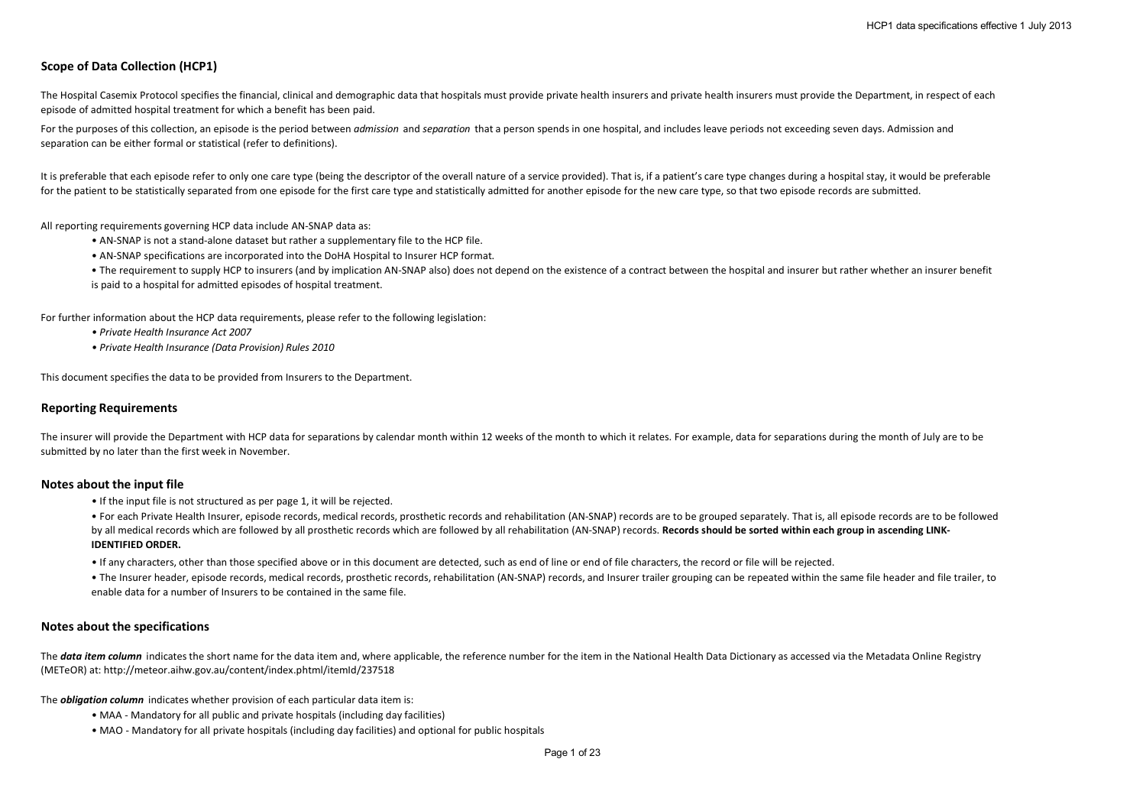# **Scope of Data Collection (HCP1)**

The Hospital Casemix Protocol specifies the financial, clinical and demographic data that hospitals must provide private health insurers and private health insurers must provide the Department, in respect of each episode of admitted hospital treatment for which a benefit has been paid.

For the purposes of this collection, an episode is the period between *admission* and *separation* that a person spends in one hospital, and includes leave periods not exceeding seven days. Admission and separation can be either formal or statistical (refer to definitions).

It is preferable that each episode refer to only one care type (being the descriptor of the overall nature of a service provided). That is, if a patient's care type changes during a hospital stay, it would be preferable for the patient to be statistically separated from one episode for the first care type and statistically admitted for another episode for the new care type, so that two episode records are submitted.

All reporting requirements governing HCP data include AN-SNAP data as:

- AN-SNAP is not a stand-alone dataset but rather a supplementary file to the HCP file.
- AN-SNAP specifications are incorporated into the DoHA Hospital to Insurer HCP format.
- The requirement to supply HCP to insurers (and by implication AN-SNAP also) does not depend on the existence of a contract between the hospital and insurer but rather whether an insurer benefit
- is paid to a hospital for admitted episodes of hospital treatment.

For further information about the HCP data requirements, please refer to the following legislation:

- *Private Health Insurance Act 2007*
- *Private Health Insurance (Data Provision) Rules 2010*

This document specifies the data to be provided from Insurers to the Department.

## **Reporting Requirements**

The insurer will provide the Department with HCP data for separations by calendar month within 12 weeks of the month to which it relates. For example, data for separations during the month of July are to be submitted by no later than the first week in November.

#### **Notes about the input file**

- If the input file is not structured as per page 1, it will be rejected.
- For each Private Health Insurer, episode records, medical records, prosthetic records and rehabilitation (AN-SNAP) records are to be grouped separately. That is, all episode records are to be followed by all medical records which are followed by all prosthetic records which are followed by all rehabilitation (AN-SNAP) records. Records should be sorted within each group in ascending LINK-**IDENTIFIED ORDER.**
- If any characters, other than those specified above or in this document are detected, such as end of line or end of file characters, the record or file will be rejected.
- The Insurer header, episode records, medical records, prosthetic records, rehabilitation (AN-SNAP) records, and Insurer trailer grouping can be repeated within the same file header and file trailer, to enable data for a number of Insurers to be contained in the same file.

#### **Notes about the specifications**

The **data item column** indicates the short name for the data item and, where applicable, the reference number for the item in the National Health Data Dictionary as accessed via the Metadata Online Registry (METeOR) at: http://meteor.aihw.gov.au/content/index.phtml/itemId/237518

The *obligation column* indicates whether provision of each particular data item is:

- MAA Mandatory for all public and private hospitals (including day facilities)
- MAO Mandatory for all private hospitals (including day facilities) and optional for public hospitals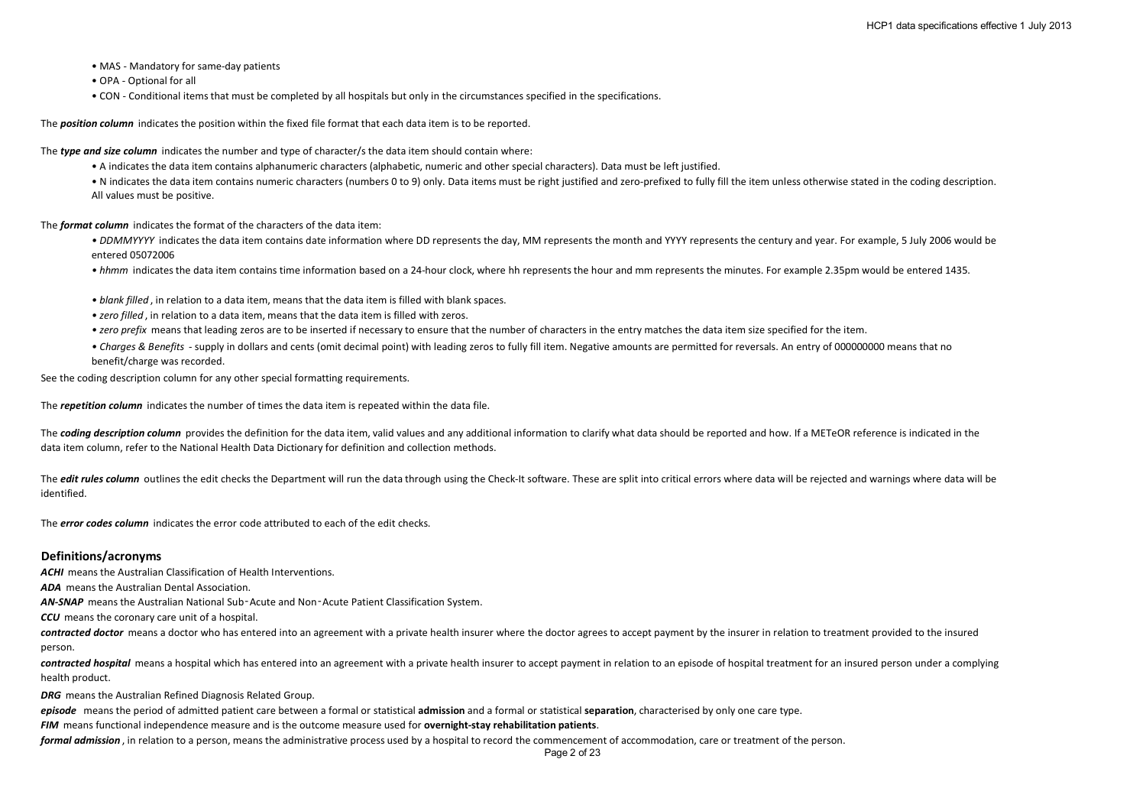- MAS Mandatory for same-day patients
- OPA Optional for all
- CON Conditional items that must be completed by all hospitals but only in the circumstances specified in the specifications.

The *position column* indicates the position within the fixed file format that each data item is to be reported.

The *type and size column* indicates the number and type of character/s the data item should contain where:

• A indicates the data item contains alphanumeric characters (alphabetic, numeric and other special characters). Data must be left justified.

• N indicates the data item contains numeric characters (numbers 0 to 9) only. Data items must be right justified and zero-prefixed to fully fill the item unless otherwise stated in the coding description. All values must be positive.

The *format column* indicates the format of the characters of the data item:

• DDMMYYYY indicates the data item contains date information where DD represents the day, MM represents the month and YYYY represents the century and year. For example, 5 July 2006 would be entered 05072006

*• hhmm* indicates the data item contains time information based on a 24-hour clock, where hh represents the hour and mm represents the minutes. For example 2.35pm would be entered 1435.

*• blank filled* , in relation to a data item, means that the data item is filled with blank spaces.

- *zero filled* , in relation to a data item, means that the data item is filled with zeros.
- *zero prefix* means that leading zeros are to be inserted if necessary to ensure that the number of characters in the entry matches the data item size specified for the item.
- *Charges & Benefits*  supply in dollars and cents (omit decimal point) with leading zeros to fully fill item. Negative amounts are permitted for reversals. An entry of 000000000 means that no benefit/charge was recorded.

See the coding description column for any other special formatting requirements.

The *repetition column* indicates the number of times the data item is repeated within the data file.

The **coding description column** provides the definition for the data item, valid values and any additional information to clarify what data should be reported and how. If a METeOR reference is indicated in the data item column, refer to the National Health Data Dictionary for definition and collection methods.

The *edit rules column* outlines the edit checks the Department will run the data through using the Check-It software. These are split into critical errors where data will be rejected and warnings where data will be identified.

The *error codes column* indicates the error code attributed to each of the edit checks.

### **Definitions/acronyms**

**ACHI** means the Australian Classification of Health Interventions.

*ADA* means the Australian Dental Association.

*AN-SNAP* means the Australian National Sub‑Acute and Non‑Acute Patient Classification System.

*CCU* means the coronary care unit of a hospital.

**contracted doctor** means a doctor who has entered into an agreement with a private health insurer where the doctor agrees to accept payment by the insurer in relation to treatment provided to the insured person.

*contracted hospital* means a hospital which has entered into an agreement with a private health insurer to accept payment in relation to an episode of hospital treatment for an insured person under a complying health product.

*DRG* means the Australian Refined Diagnosis Related Group.

*episode* means the period of admitted patient care between a formal or statistical **admission** and a formal or statistical **separation**, characterised by only one care type.

*FIM* means functional independence measure and is the outcome measure used for **overnight-stay rehabilitation patients**.

*formal admission* , in relation to a person, means the administrative process used by a hospital to record the commencement of accommodation, care or treatment of the person.

Page 2 of 23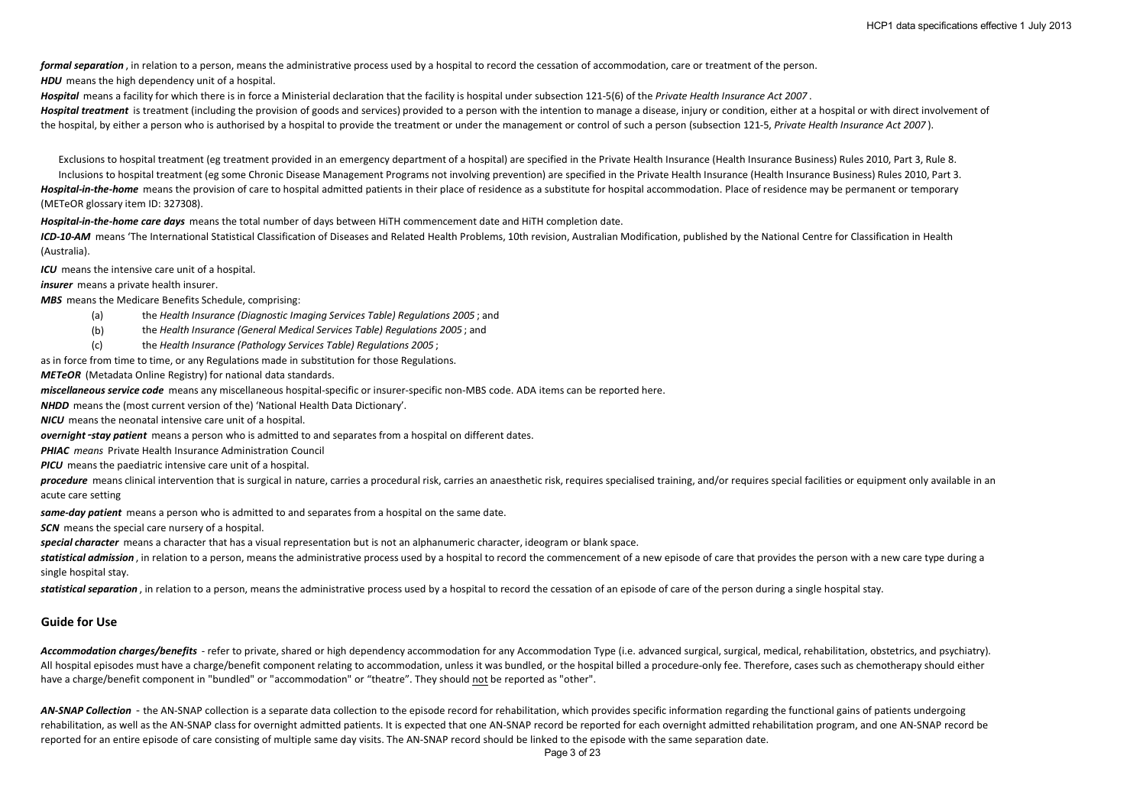*formal separation* , in relation to a person, means the administrative process used by a hospital to record the cessation of accommodation, care or treatment of the person.

**HDU** means the high dependency unit of a hospital.

*Hospital* means a facility for which there is in force a Ministerial declaration that the facility is hospital under subsection 121-5(6) of the *Private Health Insurance Act 2007* .

Hospital treatment is treatment (including the provision of goods and services) provided to a person with the intention to manage a disease, injury or condition, either at a hospital or with direct involvement of the hospital, by either a person who is authorised by a hospital to provide the treatment or under the management or control of such a person (subsection 121-5, *Private Health Insurance Act 2007* ).

Exclusions to hospital treatment (eg treatment provided in an emergency department of a hospital) are specified in the Private Health Insurance (Health Insurance Business) Rules 2010, Part 3, Rule 8. Inclusions to hospital treatment (eg some Chronic Disease Management Programs not involving prevention) are specified in the Private Health Insurance (Health Insurance Business) Rules 2010, Part 3. *Hospital-in-the-home* means the provision of care to hospital admitted patients in their place of residence as a substitute for hospital accommodation. Place of residence may be permanent or temporary (METeOR glossary item ID: 327308).

*Hospital-in-the-home care days* means the total number of days between HiTH commencement date and HiTH completion date.

*ICD-10-AM* means 'The International Statistical Classification of Diseases and Related Health Problems, 10th revision, Australian Modification, published by the National Centre for Classification in Health (Australia).

*ICU* means the intensive care unit of a hospital.

*insurer* means a private health insurer.

*MBS* means the Medicare Benefits Schedule, comprising:

- (a) the *Health Insurance (Diagnostic Imaging Services Table) Regulations 2005* ; and
- (b) the *Health Insurance (General Medical Services Table) Regulations 2005* ; and
- (c) the *Health Insurance (Pathology Services Table) Regulations 2005* ;

as in force from time to time, or any Regulations made in substitution for those Regulations.

*METeOR* (Metadata Online Registry) for national data standards.

*miscellaneous service code* means any miscellaneous hospital-specific or insurer-specific non-MBS code. ADA items can be reported here.

*NHDD* means the (most current version of the) 'National Health Data Dictionary'.

*NICU* means the neonatal intensive care unit of a hospital.

*overnight* –stay patient means a person who is admitted to and separates from a hospital on different dates.

*PHIAC means* Private Health Insurance Administration Council

*PICU* means the paediatric intensive care unit of a hospital.

procedure means clinical intervention that is surgical in nature, carries a procedural risk, carries an anaesthetic risk, requires specialised training, and/or requires special facilities or equipment only available in an acute care setting

*same-day patient* means a person who is admitted to and separates from a hospital on the same date.

**SCN** means the special care nursery of a hospital.

*special character* means a character that has a visual representation but is not an alphanumeric character, ideogram or blank space.

statistical admission, in relation to a person, means the administrative process used by a hospital to record the commencement of a new episode of care that provides the person with a new care type during a single hospital stay.

**statistical separation**, in relation to a person, means the administrative process used by a hospital to record the cessation of an episode of care of the person during a single hospital stay.

#### **Guide for Use**

Accommodation charges/benefits - refer to private, shared or high dependency accommodation for any Accommodation Type (i.e. advanced surgical, surgical, medical, rehabilitation, obstetrics, and psychiatry). All hospital episodes must have a charge/benefit component relating to accommodation, unless it was bundled, or the hospital billed a procedure-only fee. Therefore, cases such as chemotherapy should either have a charge/benefit component in "bundled" or "accommodation" or "theatre". They should not be reported as "other".

AN-SNAP Collection - the AN-SNAP collection is a separate data collection to the episode record for rehabilitation, which provides specific information regarding the functional gains of patients undergoing rehabilitation, as well as the AN-SNAP class for overnight admitted patients. It is expected that one AN-SNAP record be reported for each overnight admitted rehabilitation program, and one AN-SNAP record be reported for an entire episode of care consisting of multiple same day visits. The AN-SNAP record should be linked to the episode with the same separation date.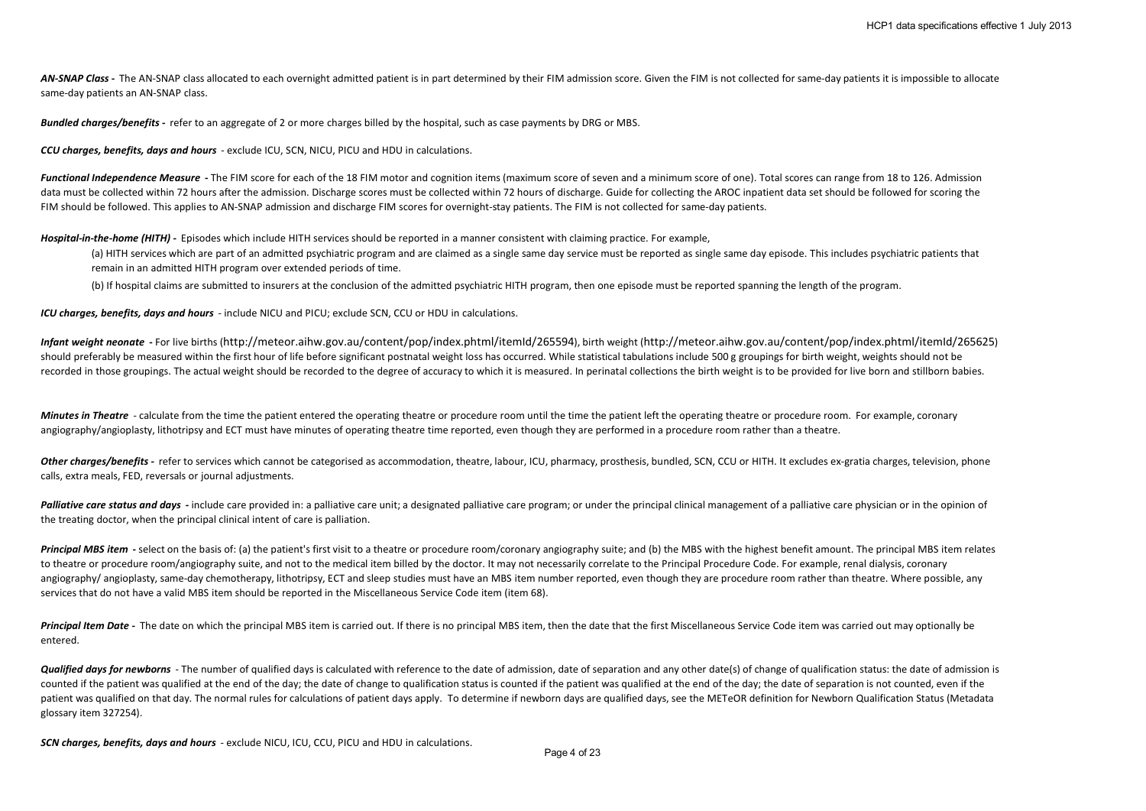AN-SNAP Class - The AN-SNAP class allocated to each overnight admitted patient is in part determined by their FIM admission score. Given the FIM is not collected for same-day patients it is impossible to allocate same-day patients an AN-SNAP class.

*Bundled charges/benefits -* refer to an aggregate of 2 or more charges billed by the hospital, such as case payments by DRG or MBS.

*CCU charges, benefits, days and hours* - exclude ICU, SCN, NICU, PICU and HDU in calculations.

Functional Independence Measure - The FIM score for each of the 18 FIM motor and cognition items (maximum score of seven and a minimum score of one). Total scores can range from 18 to 126. Admission data must be collected within 72 hours after the admission. Discharge scores must be collected within 72 hours of discharge. Guide for collecting the AROC inpatient data set should be followed for scoring the FIM should be followed. This applies to AN-SNAP admission and discharge FIM scores for overnight-stay patients. The FIM is not collected for same-day patients.

*Hospital-in-the-home (HITH) -* Episodes which include HITH services should be reported in a manner consistent with claiming practice. For example,

(a) HITH services which are part of an admitted psychiatric program and are claimed as a single same day service must be reported as single same day episode. This includes psychiatric patients that remain in an admitted HITH program over extended periods of time.

(b) If hospital claims are submitted to insurers at the conclusion of the admitted psychiatric HITH program, then one episode must be reported spanning the length of the program.

*ICU charges, benefits, days and hours* - include NICU and PICU; exclude SCN, CCU or HDU in calculations.

*Infant weight neonate* **-** For live births (http://meteor.aihw.gov.au/content/pop/index.phtml/itemId/265594), birth weight (http://meteor.aihw.gov.au/content/pop/index.phtml/itemId/265625) should preferably be measured within the first hour of life before significant postnatal weight loss has occurred. While statistical tabulations include 500 g groupings for birth weight, weights should not be recorded in those groupings. The actual weight should be recorded to the degree of accuracy to which it is measured. In perinatal collections the birth weight is to be provided for live born and stillborn babies.

*Minutes in Theatre* - calculate from the time the patient entered the operating theatre or procedure room until the time the patient left the operating theatre or procedure room. For example, coronary angiography/angioplasty, lithotripsy and ECT must have minutes of operating theatre time reported, even though they are performed in a procedure room rather than a theatre.

Other charges/benefits - refer to services which cannot be categorised as accommodation, theatre, labour, ICU, pharmacy, prosthesis, bundled, SCN, CCU or HITH. It excludes ex-gratia charges, television, phone calls, extra meals, FED, reversals or journal adjustments.

Palliative care status and days - include care provided in: a palliative care unit: a designated palliative care program: or under the principal clinical management of a palliative care physician or in the opinion of the treating doctor, when the principal clinical intent of care is palliation.

Principal MBS item - select on the basis of: (a) the patient's first visit to a theatre or procedure room/coronary angiography suite; and (b) the MBS with the highest benefit amount. The principal MBS item relates to theatre or procedure room/angiography suite, and not to the medical item billed by the doctor. It may not necessarily correlate to the Principal Procedure Code. For example, renal dialysis, coronary angiography/angioplasty, same-day chemotherapy, lithotripsy, ECT and sleep studies must have an MBS item number reported, even though they are procedure room rather than theatre. Where possible, any services that do not have a valid MBS item should be reported in the Miscellaneous Service Code item (item 68).

Principal Item Date - The date on which the principal MBS item is carried out. If there is no principal MBS item, then the date that the first Miscellaneous Service Code item was carried out may optionally be entered.

**Qualified days for newborns** - The number of qualified days is calculated with reference to the date of admission, date of separation and any other date(s) of change of qualification status: the date of admission is counted if the patient was qualified at the end of the day; the date of change to qualification status is counted if the patient was qualified at the end of the day; the date of separation is not counted, even if the patient was qualified on that day. The normal rules for calculations of patient days apply. To determine if newborn days are qualified days, see the METeOR definition for Newborn Qualification Status (Metadata glossary item 327254).

*SCN charges, benefits, days and hours* - exclude NICU, ICU, CCU, PICU and HDU in calculations.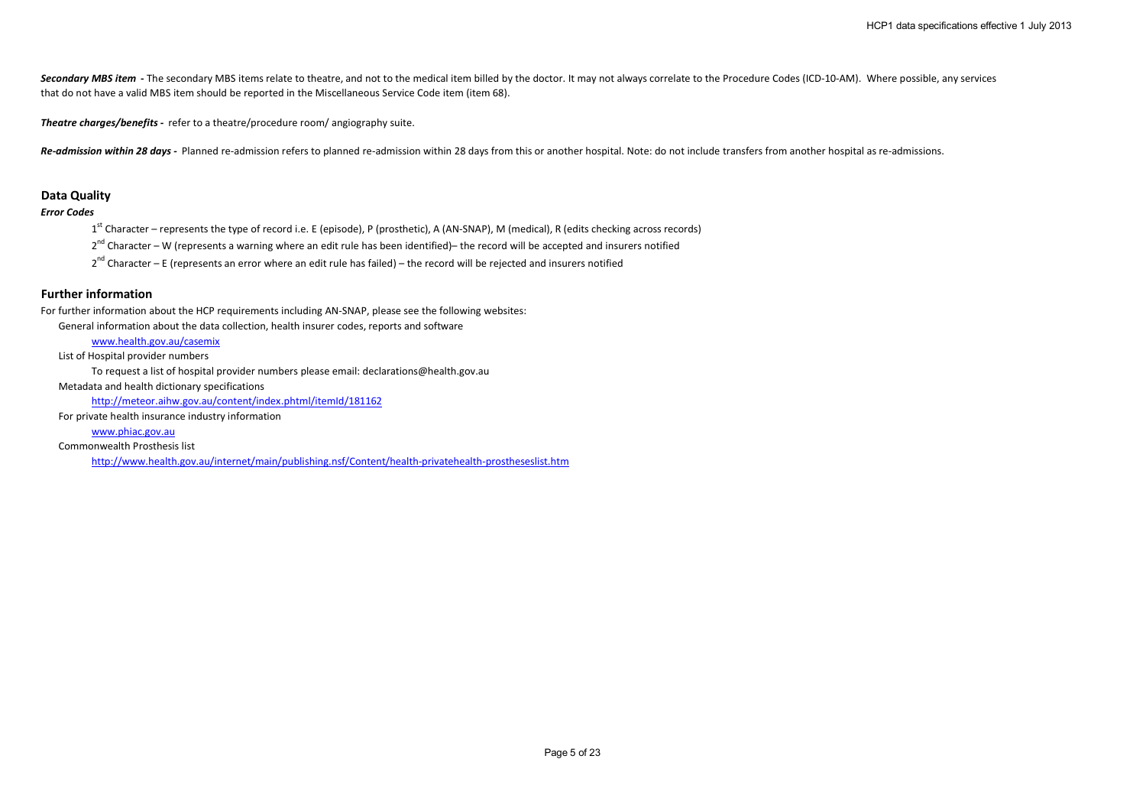Secondary MBS item - The secondary MBS items relate to theatre, and not to the medical item billed by the doctor. It may not always correlate to the Procedure Codes (ICD-10-AM). Where possible, any services that do not have a valid MBS item should be reported in the Miscellaneous Service Code item (item 68).

*Theatre charges/benefits -* refer to a theatre/procedure room/ angiography suite.

Re-admission within 28 days - Planned re-admission refers to planned re-admission within 28 days from this or another hospital. Note: do not include transfers from another hospital as re-admissions.

#### **Data Quality**

## *Error Codes*

1<sup>st</sup> Character – represents the type of record i.e. E (episode), P (prosthetic), A (AN-SNAP), M (medical), R (edits checking across records)

 $2<sup>nd</sup>$  Character – W (represents a warning where an edit rule has been identified)– the record will be accepted and insurers notified

 $2<sup>nd</sup>$  Character – E (represents an error where an edit rule has failed) – the record will be rejected and insurers notified

## **Further information**

For further information about the HCP requirements including AN-SNAP, please see the following websites:

General information about the data collection, health insurer codes, reports and software

### www.health.gov.au/casemix

List of Hospital provider numbers

To request a list of hospital provider numbers please email: declarations@health.gov.au

Metadata and health dictionary specifications

http://meteor.aihw.gov.au/content/index.phtml/itemId/181162

For private health insurance industry information

www.phiac.gov.au

Commonwealth Prosthesis list

http://www.health.gov.au/internet/main/publishing.nsf/Content/health-privatehealth-prostheseslist.htm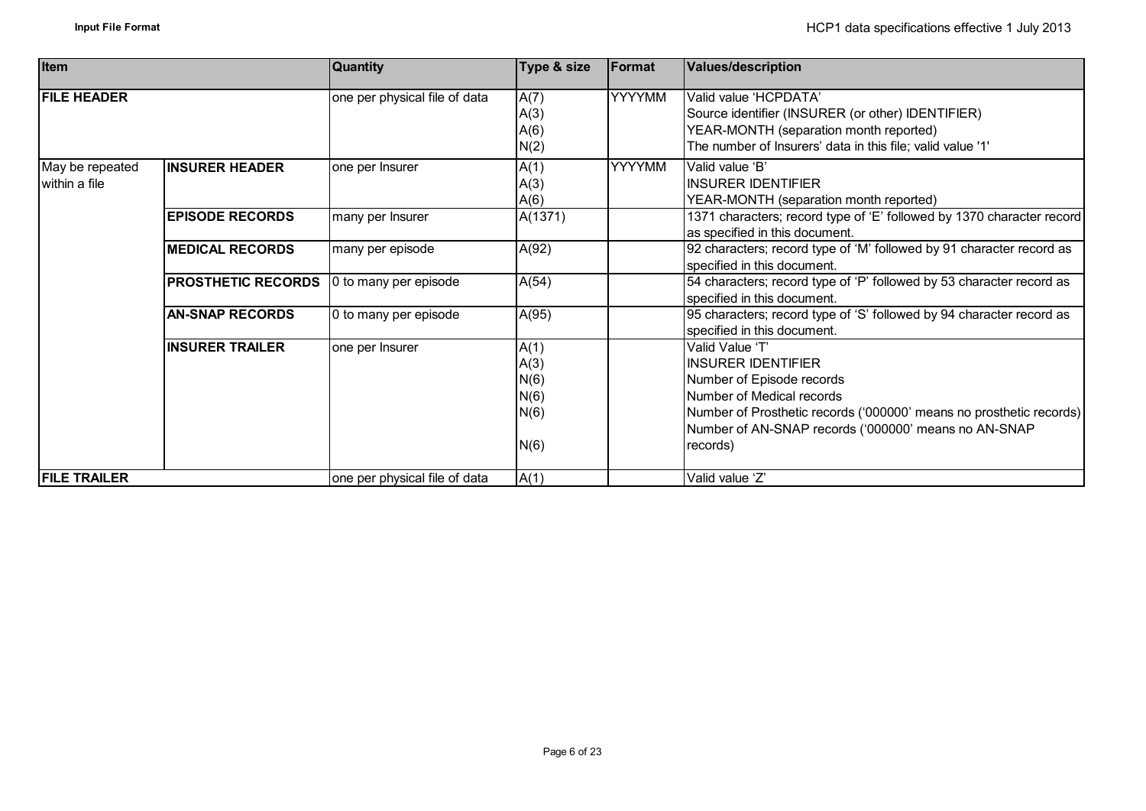| <b>Item</b>                      |                           | <b>Quantity</b>               | Type & size                                  | Format        | <b>Values/description</b>                                                                                                                                                                                                                         |
|----------------------------------|---------------------------|-------------------------------|----------------------------------------------|---------------|---------------------------------------------------------------------------------------------------------------------------------------------------------------------------------------------------------------------------------------------------|
| <b>FILE HEADER</b>               |                           | one per physical file of data | A(7)<br>A(3)<br>A(6)<br>N(2)                 | <b>YYYYMM</b> | Valid value 'HCPDATA'<br>Source identifier (INSURER (or other) IDENTIFIER)<br>YEAR-MONTH (separation month reported)<br>The number of Insurers' data in this file; valid value '1'                                                                |
| May be repeated<br>within a file | <b>INSURER HEADER</b>     | one per Insurer               | A(1)<br>A(3)<br>A(6)                         | <b>YYYYMM</b> | Valid value 'B'<br><b>INSURER IDENTIFIER</b><br>YEAR-MONTH (separation month reported)                                                                                                                                                            |
|                                  | <b>EPISODE RECORDS</b>    | many per Insurer              | A(1371)                                      |               | 1371 characters; record type of 'E' followed by 1370 character record<br>as specified in this document.                                                                                                                                           |
|                                  | <b>MEDICAL RECORDS</b>    | many per episode              | A(92)                                        |               | 92 characters; record type of 'M' followed by 91 character record as<br>specified in this document.                                                                                                                                               |
|                                  | <b>PROSTHETIC RECORDS</b> | 0 to many per episode         | A(54)                                        |               | 54 characters; record type of 'P' followed by 53 character record as<br>specified in this document.                                                                                                                                               |
|                                  | <b>AN-SNAP RECORDS</b>    | 0 to many per episode         | A(95)                                        |               | 95 characters; record type of 'S' followed by 94 character record as<br>specified in this document.                                                                                                                                               |
|                                  | <b>IINSURER TRAILER</b>   | one per Insurer               | A(1)<br>A(3)<br>N(6)<br>N(6)<br>N(6)<br>N(6) |               | Valid Value 'T'<br><b>INSURER IDENTIFIER</b><br>Number of Episode records<br>Number of Medical records<br>Number of Prosthetic records ('000000' means no prosthetic records)<br>Number of AN-SNAP records ('000000' means no AN-SNAP<br>records) |
| <b>FILE TRAILER</b>              |                           | one per physical file of data | A(1)                                         |               | Valid value 'Z'                                                                                                                                                                                                                                   |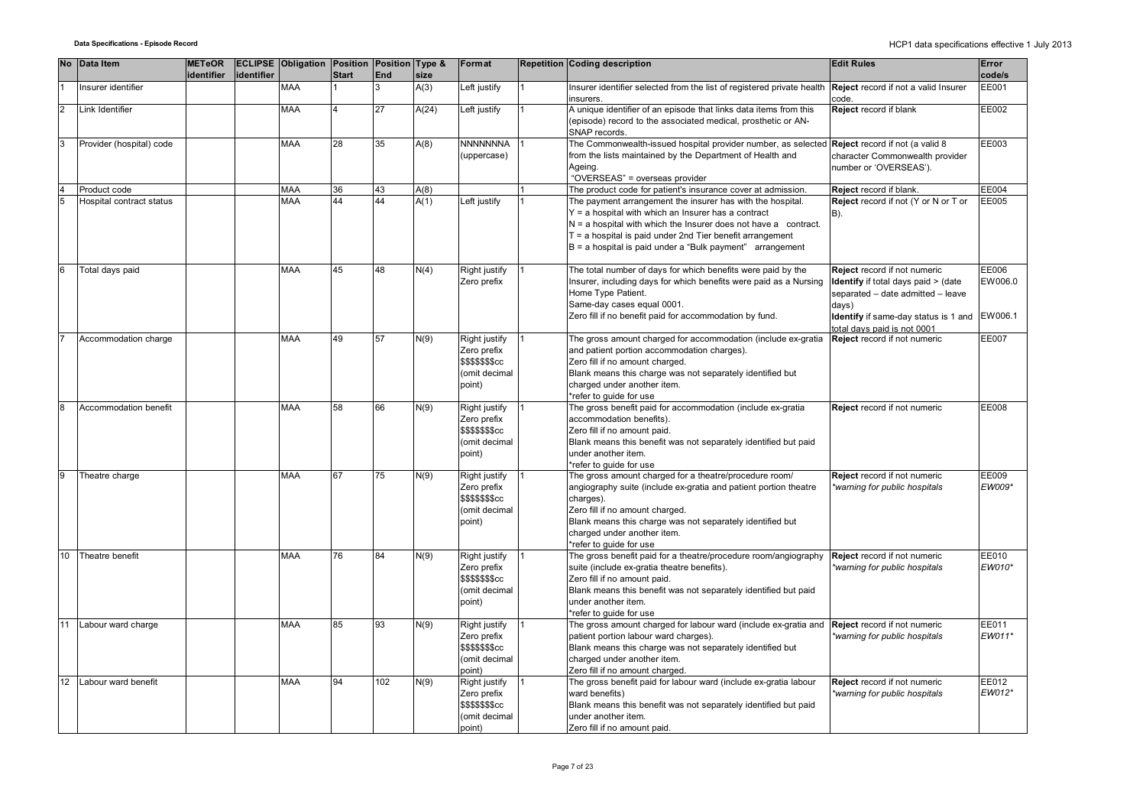|                 | No Data Item             | <b>METeOR</b><br>identifier | identifier | <b>ECLIPSE Obligation Position Position Type &amp;</b> | <b>Start</b> | <b>End</b> | size  | Format                                                                             | <b>Repetition Coding description</b>                                                                                                                                                                                                                                                                                   | <b>Edit Rules</b>                                                                                                                                                                               | Error<br>code/s  |
|-----------------|--------------------------|-----------------------------|------------|--------------------------------------------------------|--------------|------------|-------|------------------------------------------------------------------------------------|------------------------------------------------------------------------------------------------------------------------------------------------------------------------------------------------------------------------------------------------------------------------------------------------------------------------|-------------------------------------------------------------------------------------------------------------------------------------------------------------------------------------------------|------------------|
|                 | Insurer identifier       |                             |            | MAA                                                    |              |            | A(3)  | Left justify                                                                       | Insurer identifier selected from the list of registered private health<br>insurers.                                                                                                                                                                                                                                    | Reject record if not a valid Insurer<br>code.                                                                                                                                                   | <b>EE001</b>     |
| 2               | Link Identifier          |                             |            | MAA                                                    |              | 27         | A(24) | Left justify                                                                       | A unique identifier of an episode that links data items from this<br>(episode) record to the associated medical, prosthetic or AN-<br>SNAP records.                                                                                                                                                                    | Reject record if blank                                                                                                                                                                          | EE002            |
| 3               | Provider (hospital) code |                             |            | <b>MAA</b>                                             | 28           | 35         | A(8)  | <b>NNNNNNNA</b><br>(uppercase)                                                     | The Commonwealth-issued hospital provider number, as selected<br>from the lists maintained by the Department of Health and<br>Ageing.<br>"OVERSEAS" = overseas provider                                                                                                                                                | Reject record if not (a valid 8<br>character Commonwealth provider<br>number or 'OVERSEAS').                                                                                                    | EE003            |
|                 | Product code             |                             |            | <b>MAA</b>                                             | 36           | 43         | A(8)  |                                                                                    | The product code for patient's insurance cover at admission.                                                                                                                                                                                                                                                           | Reject record if blank.                                                                                                                                                                         | EE004            |
| 5               | Hospital contract status |                             |            | <b>MAA</b>                                             | 44           | 44         | A(1)  | Left justify                                                                       | The payment arrangement the insurer has with the hospital.<br>$Y = a$ hospital with which an Insurer has a contract<br>$N = a$ hospital with which the Insurer does not have a contract.<br>$T = a$ hospital is paid under 2nd Tier benefit arrangement<br>$B = a$ hospital is paid under a "Bulk payment" arrangement | Reject record if not (Y or N or T or<br>B).                                                                                                                                                     | EE005            |
| $6\phantom{.}6$ | Total days paid          |                             |            | <b>MAA</b>                                             | 45           | 48         | N(4)  | Right justify<br>Zero prefix                                                       | The total number of days for which benefits were paid by the<br>Insurer, including days for which benefits were paid as a Nursing<br>Home Type Patient.<br>Same-day cases equal 0001.<br>Zero fill if no benefit paid for accommodation by fund.                                                                       | Reject record if not numeric<br>Identify if total days paid > (date<br>separated - date admitted - leave<br>days)<br>Identify if same-day status is 1 and EW006.1<br>otal davs paid is not 0001 | EE006<br>EW006.0 |
|                 | Accommodation charge     |                             |            | <b>MAA</b>                                             | 49           | 57         | N(9)  | Right justify<br>Zero prefix<br><b>\$\$\$\$\$\$\$cc</b><br>(omit decimal<br>point) | The gross amount charged for accommodation (include ex-gratia<br>and patient portion accommodation charges).<br>Zero fill if no amount charged.<br>Blank means this charge was not separately identified but<br>charged under another item.<br>refer to quide for use                                                  | Reject record if not numeric                                                                                                                                                                    | <b>EE007</b>     |
| 8               | Accommodation benefit    |                             |            | <b>MAA</b>                                             | 58           | 66         | N(9)  | Right justify<br>Zero prefix<br><b>\$\$\$\$\$\$\$cc</b><br>(omit decimal<br>point) | The gross benefit paid for accommodation (include ex-gratia<br>accommodation benefits).<br>Zero fill if no amount paid.<br>Blank means this benefit was not separately identified but paid<br>under another item.<br>*refer to guide for use                                                                           | Reject record if not numeric                                                                                                                                                                    | <b>EE008</b>     |
|                 | Theatre charge           |                             |            | <b>MAA</b>                                             | 67           | 75         | N(9)  | Right justify<br>Zero prefix<br><b>\$\$\$\$\$\$\$cc</b><br>(omit decimal<br>point) | The gross amount charged for a theatre/procedure room/<br>angiography suite (include ex-gratia and patient portion theatre<br>charges).<br>Zero fill if no amount charged.<br>Blank means this charge was not separately identified but<br>charged under another item.<br>*refer to guide for use                      | Reject record if not numeric<br>warning for public hospitals                                                                                                                                    | EE009<br>EW009*  |
| 10              | Theatre benefit          |                             |            | MAA                                                    | 76           | 84         | N(9)  | Right justify<br>Zero prefix<br><b>\$\$\$\$\$\$\$cc</b><br>(omit decimal<br>point) | The gross benefit paid for a theatre/procedure room/angiography<br>suite (include ex-gratia theatre benefits).<br>Zero fill if no amount paid.<br>Blank means this benefit was not separately identified but paid<br>under another item.<br>*refer to guide for use                                                    | Reject record if not numeric<br>warning for public hospitals*                                                                                                                                   | EE010<br>EW010*  |
| 11              | Labour ward charge       |                             |            | <b>MAA</b>                                             | 85           | 93         | N(9)  | Right justify<br>Zero prefix<br><b>\$\$\$\$\$\$\$cc</b><br>(omit decimal<br>point) | The gross amount charged for labour ward (include ex-gratia and<br>patient portion labour ward charges).<br>Blank means this charge was not separately identified but<br>charged under another item.<br>Zero fill if no amount charged.                                                                                | Reject record if not numeric<br>warning for public hospitals*                                                                                                                                   | EE011<br>EW011*  |
| 12              | Labour ward benefit      |                             |            | <b>MAA</b>                                             | 94           | 102        | N(9)  | Right justify<br>Zero prefix<br><b>\$\$\$\$\$\$\$cc</b><br>(omit decimal<br>point) | The gross benefit paid for labour ward (include ex-gratia labour<br>ward benefits)<br>Blank means this benefit was not separately identified but paid<br>under another item.<br>Zero fill if no amount paid.                                                                                                           | Reject record if not numeric<br>warning for public hospitals                                                                                                                                    | EE012<br>EW012*  |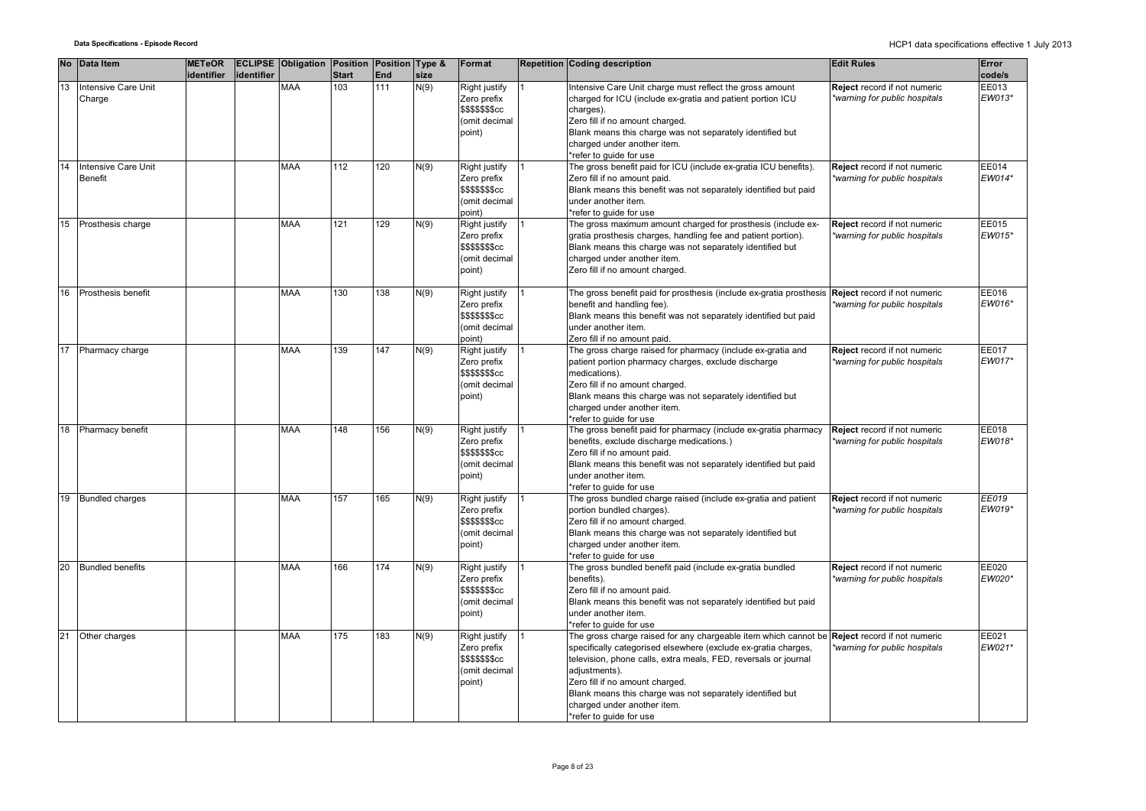|    | No Data Item                          | <b>METeOR</b> |            | <b>ECLIPSE Obligation Position Position Type &amp;</b> |              |     |      | Format                                                                                   | <b>Repetition Coding description</b>                                                                                                                                                                                                                                                                                                                                                                         | <b>Edit Rules</b>                                             | Error           |
|----|---------------------------------------|---------------|------------|--------------------------------------------------------|--------------|-----|------|------------------------------------------------------------------------------------------|--------------------------------------------------------------------------------------------------------------------------------------------------------------------------------------------------------------------------------------------------------------------------------------------------------------------------------------------------------------------------------------------------------------|---------------------------------------------------------------|-----------------|
|    |                                       | identifier    | identifier |                                                        | <b>Start</b> | End | size |                                                                                          |                                                                                                                                                                                                                                                                                                                                                                                                              |                                                               | code/s          |
| 13 | Intensive Care Unit<br>Charge         |               |            | <b>MAA</b>                                             | 103          | 111 | N(9) | Right justify<br>Zero prefix<br>\$\$\$\$\$\$\$cc<br>(omit decimal<br>point)              | Intensive Care Unit charge must reflect the gross amount<br>charged for ICU (include ex-gratia and patient portion ICU<br>charges).<br>Zero fill if no amount charged.<br>Blank means this charge was not separately identified but<br>charged under another item.<br>*refer to guide for use                                                                                                                | Reject record if not numeric<br>*warning for public hospitals | EE013<br>EW013* |
| 14 | Intensive Care Unit<br><b>Benefit</b> |               |            | <b>MAA</b>                                             | 112          | 120 | N(9) | Right justify<br>Zero prefix<br><b>\$\$\$\$\$\$\$cc</b><br>(omit decimal<br>point)       | The gross benefit paid for ICU (include ex-gratia ICU benefits).<br>Zero fill if no amount paid.<br>Blank means this benefit was not separately identified but paid<br>under another item.<br>*refer to guide for use                                                                                                                                                                                        | Reject record if not numeric<br>warning for public hospitals  | EE014<br>EW014* |
| 15 | Prosthesis charge                     |               |            | <b>MAA</b>                                             | 121          | 129 | N(9) | Right justify<br>Zero prefix<br>\$\$\$\$\$\$ <sub>\$</sub> cc<br>(omit decimal<br>point) | The gross maximum amount charged for prosthesis (include ex-<br>gratia prosthesis charges, handling fee and patient portion).<br>Blank means this charge was not separately identified but<br>charged under another item.<br>Zero fill if no amount charged.                                                                                                                                                 | Reject record if not numeric<br>*warning for public hospitals | EE015<br>EW015* |
| 16 | Prosthesis benefit                    |               |            | <b>MAA</b>                                             | 130          | 138 | N(9) | Right justify<br>Zero prefix<br>\$\$\$\$\$\$cc<br>(omit decimal<br>point)                | The gross benefit paid for prosthesis (include ex-gratia prosthesis<br>benefit and handling fee).<br>Blank means this benefit was not separately identified but paid<br>under another item.<br>Zero fill if no amount paid.                                                                                                                                                                                  | Reject record if not numeric<br>warning for public hospitals  | EE016<br>EW016* |
| 17 | Pharmacy charge                       |               |            | <b>MAA</b>                                             | 139          | 147 | N(9) | Right justify<br>Zero prefix<br><b>\$\$\$\$\$\$\$cc</b><br>(omit decimal<br>point)       | The gross charge raised for pharmacy (include ex-gratia and<br>patient portion pharmacy charges, exclude discharge<br>medications).<br>Zero fill if no amount charged.<br>Blank means this charge was not separately identified but<br>charged under another item.<br>*refer to guide for use                                                                                                                | Reject record if not numeric<br>*warning for public hospitals | EE017<br>EW017* |
| 18 | Pharmacy benefit                      |               |            | <b>MAA</b>                                             | 148          | 156 | N(9) | Right justify<br>Zero prefix<br><b>\$\$\$\$\$\$\$cc</b><br>(omit decimal<br>point)       | The gross benefit paid for pharmacy (include ex-gratia pharmacy<br>benefits, exclude discharge medications.)<br>Zero fill if no amount paid.<br>Blank means this benefit was not separately identified but paid<br>under another item.<br>*refer to guide for use                                                                                                                                            | Reject record if not numeric<br>warning for public hospitals  | EE018<br>EW018* |
| 19 | <b>Bundled charges</b>                |               |            | <b>MAA</b>                                             | 157          | 165 | N(9) | Right justify<br>Zero prefix<br>\$\$\$\$\$\$\$cc<br>(omit decimal<br>point)              | The gross bundled charge raised (include ex-gratia and patient<br>portion bundled charges).<br>Zero fill if no amount charged.<br>Blank means this charge was not separately identified but<br>charged under another item.<br>*refer to guide for use                                                                                                                                                        | Reject record if not numeric<br>warning for public hospitals  | EE019<br>EW019* |
| 20 | <b>Bundled benefits</b>               |               |            | <b>MAA</b>                                             | 166          | 174 | N(9) | Right justify<br>Zero prefix<br>\$\$\$\$\$\$cc<br>(omit decimal<br>point)                | The gross bundled benefit paid (include ex-gratia bundled<br>benefits).<br>Zero fill if no amount paid.<br>Blank means this benefit was not separately identified but paid<br>under another item.<br>*refer to guide for use                                                                                                                                                                                 | Reject record if not numeric<br>*warning for public hospitals | EE020<br>EW020* |
| 21 | Other charges                         |               |            | <b>MAA</b>                                             | 175          | 183 | N(9) | Right justify<br>Zero prefix<br><b>\$\$\$\$\$\$\$cc</b><br>(omit decimal<br>point)       | The gross charge raised for any chargeable item which cannot be Reject record if not numeric<br>specifically categorised elsewhere (exclude ex-gratia charges,<br>television, phone calls, extra meals, FED, reversals or journal<br>adjustments).<br>Zero fill if no amount charged.<br>Blank means this charge was not separately identified but<br>charged under another item.<br>*refer to guide for use | *warning for public hospitals                                 | EE021<br>EW021* |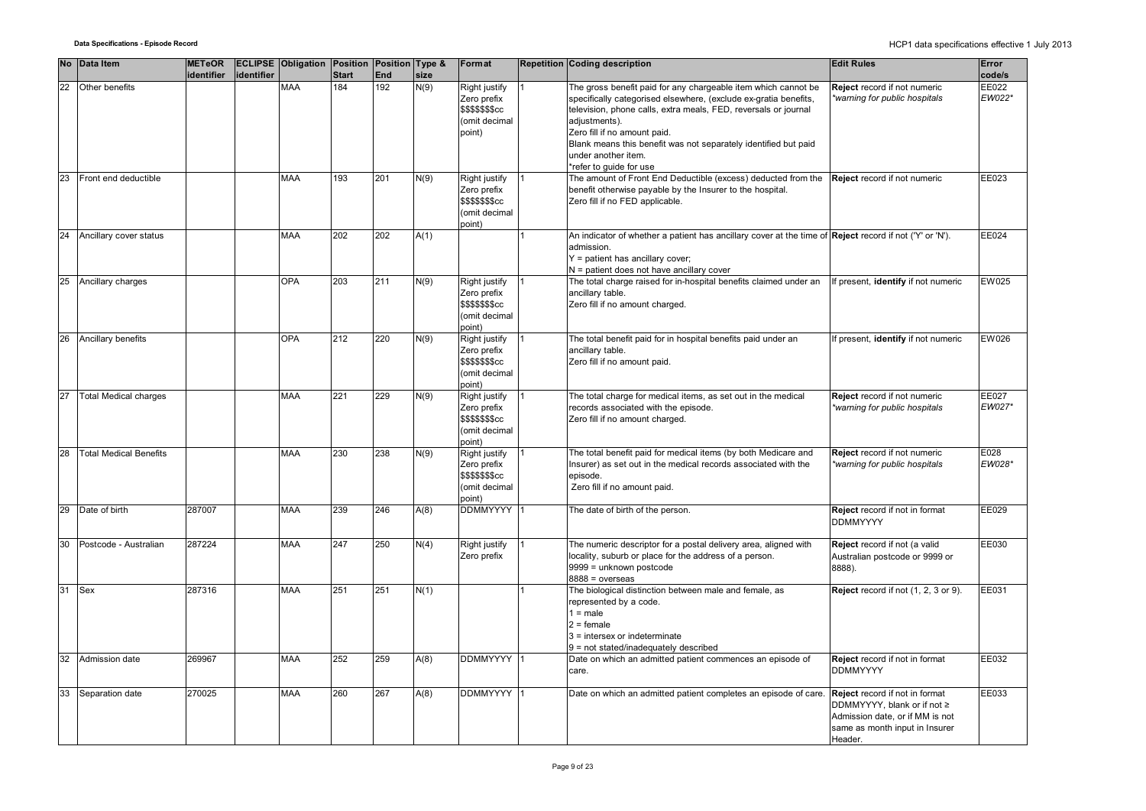|    | No Data Item                  | <b>METeOR</b> |            | <b>ECLIPSE Obligation Position Position Type &amp;</b> |              |            |      | Format                                                                             | <b>Repetition Coding description</b>                                                                                                                                                                                                                                                                                                             | <b>Edit Rules</b>                                                                                                                                    | Error           |
|----|-------------------------------|---------------|------------|--------------------------------------------------------|--------------|------------|------|------------------------------------------------------------------------------------|--------------------------------------------------------------------------------------------------------------------------------------------------------------------------------------------------------------------------------------------------------------------------------------------------------------------------------------------------|------------------------------------------------------------------------------------------------------------------------------------------------------|-----------------|
|    |                               | identifier    | identifier |                                                        | <b>Start</b> | <b>End</b> | size |                                                                                    |                                                                                                                                                                                                                                                                                                                                                  |                                                                                                                                                      | code/s          |
| 22 | Other benefits                |               |            | <b>MAA</b>                                             | 184          | 192        | N(9) | Right justify<br>Zero prefix<br><b>\$\$\$\$\$\$\$cc</b><br>(omit decimal<br>point) | The gross benefit paid for any chargeable item which cannot be<br>specifically categorised elsewhere, (exclude ex-gratia benefits,<br>television, phone calls, extra meals, FED, reversals or journal<br>adjustments).<br>Zero fill if no amount paid.<br>Blank means this benefit was not separately identified but paid<br>under another item. | Reject record if not numeric<br>warning for public hospitals*                                                                                        | EE022<br>EW022* |
| 23 | Front end deductible          |               |            | <b>MAA</b>                                             | 193          | 201        | N(9) | Right justify<br>Zero prefix<br><b>\$\$\$\$\$\$\$cc</b><br>(omit decimal<br>point) | *refer to quide for use<br>The amount of Front End Deductible (excess) deducted from the<br>benefit otherwise payable by the Insurer to the hospital.<br>Zero fill if no FED applicable.                                                                                                                                                         | Reject record if not numeric                                                                                                                         | EE023           |
| 24 | Ancillary cover status        |               |            | <b>MAA</b>                                             | 202          | 202        | A(1) |                                                                                    | An indicator of whether a patient has ancillary cover at the time of <b>Reject</b> record if not ('Y' or 'N').<br>admission.<br>Y = patient has ancillary cover;<br>N = patient does not have ancillary cover                                                                                                                                    |                                                                                                                                                      | EE024           |
| 25 | Ancillary charges             |               |            | <b>OPA</b>                                             | 203          | 211        | N(9) | Right justify<br>Zero prefix<br><b>\$\$\$\$\$\$\$cc</b><br>(omit decimal<br>point) | The total charge raised for in-hospital benefits claimed under an<br>ancillary table.<br>Zero fill if no amount charged.                                                                                                                                                                                                                         | f present, identify if not numeric                                                                                                                   | EW025           |
| 26 | Ancillary benefits            |               |            | <b>OPA</b>                                             | 212          | 220        | N(9) | Right justify<br>Zero prefix<br>\$\$\$\$\$\$\$cc<br>(omit decimal<br>point)        | The total benefit paid for in hospital benefits paid under an<br>ancillary table.<br>Zero fill if no amount paid.                                                                                                                                                                                                                                | f present, identify if not numeric                                                                                                                   | EW026           |
| 27 | <b>Total Medical charges</b>  |               |            | <b>MAA</b>                                             | 221          | 229        | N(9) | Right justify<br>Zero prefix<br><b>\$\$\$\$\$\$\$cc</b><br>(omit decimal<br>point) | The total charge for medical items, as set out in the medical<br>records associated with the episode.<br>Zero fill if no amount charged.                                                                                                                                                                                                         | Reject record if not numeric<br>*warning for public hospitals                                                                                        | EE027<br>EW027* |
| 28 | <b>Total Medical Benefits</b> |               |            | <b>MAA</b>                                             | 230          | 238        | N(9) | Right justify<br>Zero prefix<br><b>\$\$\$\$\$\$\$cc</b><br>(omit decimal<br>point) | The total benefit paid for medical items (by both Medicare and<br>Insurer) as set out in the medical records associated with the<br>episode.<br>Zero fill if no amount paid.                                                                                                                                                                     | Reject record if not numeric<br>*warning for public hospitals                                                                                        | E028<br>EW028*  |
| 29 | Date of birth                 | 287007        |            | <b>MAA</b>                                             | 239          | 246        | A(8) | <b>DDMMYYYY</b>                                                                    | The date of birth of the person.                                                                                                                                                                                                                                                                                                                 | Reject record if not in format<br><b>DDMMYYYY</b>                                                                                                    | EE029           |
| 30 | Postcode - Australian         | 287224        |            | <b>MAA</b>                                             | 247          | 250        | N(4) | Right justify<br>Zero prefix                                                       | The numeric descriptor for a postal delivery area, aligned with<br>locality, suburb or place for the address of a person.<br>9999 = unknown postcode<br>$8888 = 0$ verseas                                                                                                                                                                       | Reject record if not (a valid<br>Australian postcode or 9999 or<br>8888).                                                                            | EE030           |
| 31 | Sex                           | 287316        |            | <b>MAA</b>                                             | 251          | 251        | N(1) |                                                                                    | The biological distinction between male and female, as<br>represented by a code.<br>$1 = male$<br>$2 =$ female<br>$3$ = intersex or indeterminate<br>9 = not stated/inadequately described                                                                                                                                                       | Reject record if not (1, 2, 3 or 9).                                                                                                                 | EE031           |
| 32 | Admission date                | 269967        |            | <b>MAA</b>                                             | 252          | 259        | A(8) | <b>DDMMYYYY</b>                                                                    | Date on which an admitted patient commences an episode of<br>care.                                                                                                                                                                                                                                                                               | Reject record if not in format<br><b>DDMMYYYY</b>                                                                                                    | EE032           |
| 33 | Separation date               | 270025        |            | <b>MAA</b>                                             | 260          | 267        | A(8) | <b>DDMMYYYY</b>                                                                    | Date on which an admitted patient completes an episode of care.                                                                                                                                                                                                                                                                                  | <b>Reject</b> record if not in format<br>DDMMYYYY, blank or if not ≥<br>Admission date, or if MM is not<br>same as month input in Insurer<br>Header. | EE033           |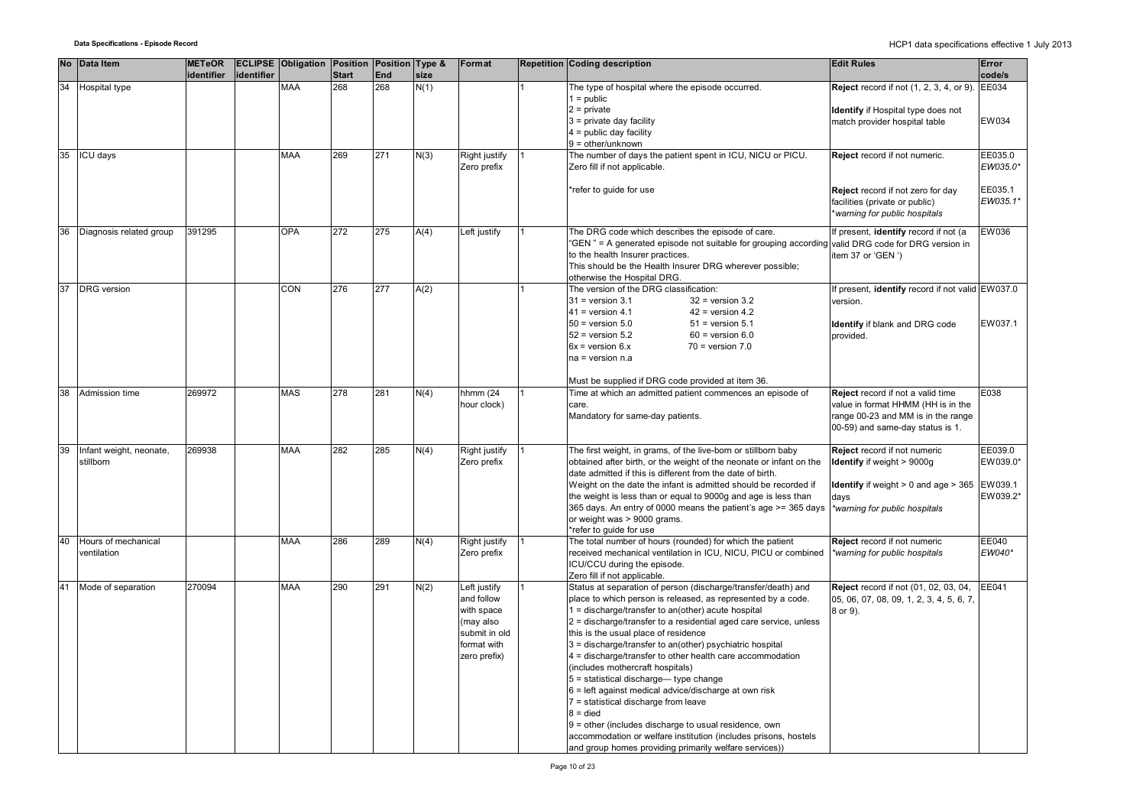|    | No Data Item            | <b>METeOR</b> |            | <b>ECLIPSE Obligation Position Position Type &amp;</b> |              |     |      | Format        | Repetition Coding description                                                                     | <b>Edit Rules</b>                                       | Error    |
|----|-------------------------|---------------|------------|--------------------------------------------------------|--------------|-----|------|---------------|---------------------------------------------------------------------------------------------------|---------------------------------------------------------|----------|
|    |                         | identifier    | identifier |                                                        | <b>Start</b> | End | size |               |                                                                                                   |                                                         | code/s   |
| 34 | Hospital type           |               |            | <b>MAA</b>                                             | 268          | 268 | N(1) |               | The type of hospital where the episode occurred.                                                  | <b>Reject</b> record if not (1, 2, 3, 4, or 9). EE034   |          |
|    |                         |               |            |                                                        |              |     |      |               | $1 = \text{public}$                                                                               |                                                         |          |
|    |                         |               |            |                                                        |              |     |      |               | $2 = private$                                                                                     | Identify if Hospital type does not                      |          |
|    |                         |               |            |                                                        |              |     |      |               | $3$ = private day facility                                                                        | match provider hospital table                           | EW034    |
|    |                         |               |            |                                                        |              |     |      |               | $4 =$ public day facility                                                                         |                                                         |          |
|    |                         |               |            |                                                        |              |     |      |               | $9 =$ other/unknown                                                                               |                                                         |          |
| 35 | ICU days                |               |            | <b>MAA</b>                                             | 269          | 271 | N(3) | Right justify | The number of days the patient spent in ICU, NICU or PICU.                                        | Reject record if not numeric.                           | EE035.0  |
|    |                         |               |            |                                                        |              |     |      | Zero prefix   | Zero fill if not applicable.                                                                      |                                                         | EW035.0* |
|    |                         |               |            |                                                        |              |     |      |               |                                                                                                   |                                                         |          |
|    |                         |               |            |                                                        |              |     |      |               | *refer to guide for use                                                                           | Reject record if not zero for day                       | EE035.1  |
|    |                         |               |            |                                                        |              |     |      |               |                                                                                                   | facilities (private or public)                          | EW035.1* |
|    |                         |               |            |                                                        |              |     |      |               |                                                                                                   | warning for public hospitals                            |          |
| 36 | Diagnosis related group | 391295        |            | <b>OPA</b>                                             | 272          | 275 | A(4) | Left justify  | The DRG code which describes the episode of care.                                                 | If present, identify record if not (a                   | EW036    |
|    |                         |               |            |                                                        |              |     |      |               | "GEN" = A generated episode not suitable for grouping according valid DRG code for DRG version in |                                                         |          |
|    |                         |               |            |                                                        |              |     |      |               | to the health Insurer practices.                                                                  | item 37 or 'GEN ')                                      |          |
|    |                         |               |            |                                                        |              |     |      |               | This should be the Health Insurer DRG wherever possible;                                          |                                                         |          |
|    |                         |               |            |                                                        |              |     |      |               | otherwise the Hospital DRG.                                                                       |                                                         |          |
| 37 | <b>DRG</b> version      |               |            | CON                                                    | 276          | 277 | A(2) |               | The version of the DRG classification:                                                            | If present, identify record if not valid EW037.0        |          |
|    |                         |               |            |                                                        |              |     |      |               | $31$ = version $3.1$<br>$32$ = version $3.2$                                                      | version.                                                |          |
|    |                         |               |            |                                                        |              |     |      |               | $41$ = version 4.1<br>$42$ = version 4.2                                                          |                                                         |          |
|    |                         |               |            |                                                        |              |     |      |               | $50$ = version $5.0$<br>$51$ = version $5.1$                                                      | Identify if blank and DRG code                          | EW037.1  |
|    |                         |               |            |                                                        |              |     |      |               | $52$ = version $5.2$<br>$60$ = version $6.0$                                                      | provided.                                               |          |
|    |                         |               |            |                                                        |              |     |      |               | $6x = version 6.x$<br>$70$ = version $7.0$                                                        |                                                         |          |
|    |                         |               |            |                                                        |              |     |      |               | $na = version n.a$                                                                                |                                                         |          |
|    |                         |               |            |                                                        |              |     |      |               |                                                                                                   |                                                         |          |
|    |                         |               |            |                                                        |              |     |      |               | Must be supplied if DRG code provided at item 36.                                                 |                                                         |          |
| 38 | Admission time          | 269972        |            | <b>MAS</b>                                             | 278          | 281 | N(4) | hhmm (24      | Time at which an admitted patient commences an episode of                                         | Reject record if not a valid time                       | E038     |
|    |                         |               |            |                                                        |              |     |      | hour clock)   | care.                                                                                             | value in format HHMM (HH is in the                      |          |
|    |                         |               |            |                                                        |              |     |      |               | Mandatory for same-day patients.                                                                  | range 00-23 and MM is in the range                      |          |
|    |                         |               |            |                                                        |              |     |      |               |                                                                                                   | 00-59) and same-day status is 1.                        |          |
|    |                         |               |            |                                                        |              |     |      |               |                                                                                                   |                                                         |          |
| 39 | Infant weight, neonate, | 269938        |            | <b>MAA</b>                                             | 282          | 285 | N(4) | Right justify | The first weight, in grams, of the live-born or stillborn baby                                    | Reject record if not numeric                            | EE039.0  |
|    | stillborn               |               |            |                                                        |              |     |      | Zero prefix   | obtained after birth, or the weight of the neonate or infant on the                               | Identify if weight > 9000g                              | EW039.0* |
|    |                         |               |            |                                                        |              |     |      |               | date admitted if this is different from the date of birth.                                        |                                                         |          |
|    |                         |               |            |                                                        |              |     |      |               | Weight on the date the infant is admitted should be recorded if                                   | <b>Identify</b> if weight $> 0$ and age $> 365$ EW039.1 |          |
|    |                         |               |            |                                                        |              |     |      |               | the weight is less than or equal to 9000g and age is less than                                    | days                                                    | EW039.2* |
|    |                         |               |            |                                                        |              |     |      |               | 365 days. An entry of 0000 means the patient's age >= 365 days                                    | *warning for public hospitals                           |          |
|    |                         |               |            |                                                        |              |     |      |               | or weight was > 9000 grams.                                                                       |                                                         |          |
|    |                         |               |            |                                                        |              |     |      |               | *refer to quide for use                                                                           |                                                         |          |
| 40 | Hours of mechanical     |               |            | <b>MAA</b>                                             | 286          | 289 | N(4) | Right justify | The total number of hours (rounded) for which the patient                                         | Reject record if not numeric                            | EE040    |
|    | ventilation             |               |            |                                                        |              |     |      | Zero prefix   | received mechanical ventilation in ICU, NICU, PICU or combined                                    | *warning for public hospitals                           | EW040*   |
|    |                         |               |            |                                                        |              |     |      |               | ICU/CCU during the episode.                                                                       |                                                         |          |
|    |                         |               |            |                                                        |              |     |      |               | Zero fill if not applicable.                                                                      |                                                         |          |
| 41 | Mode of separation      | 270094        |            | <b>MAA</b>                                             | 290          | 291 | N(2) | Left justify  | Status at separation of person (discharge/transfer/death) and                                     | Reject record if not (01, 02, 03, 04,                   | EE041    |
|    |                         |               |            |                                                        |              |     |      | and follow    | place to which person is released, as represented by a code.                                      | 05, 06, 07, 08, 09, 1, 2, 3, 4, 5, 6, 7,                |          |
|    |                         |               |            |                                                        |              |     |      | with space    | $1 =$ discharge/transfer to an(other) acute hospital                                              | 8 or 9).                                                |          |
|    |                         |               |            |                                                        |              |     |      | (may also     | 2 = discharge/transfer to a residential aged care service, unless                                 |                                                         |          |
|    |                         |               |            |                                                        |              |     |      | submit in old | this is the usual place of residence                                                              |                                                         |          |
|    |                         |               |            |                                                        |              |     |      | format with   | 3 = discharge/transfer to an(other) psychiatric hospital                                          |                                                         |          |
|    |                         |               |            |                                                        |              |     |      | zero prefix)  | 4 = discharge/transfer to other health care accommodation                                         |                                                         |          |
|    |                         |               |            |                                                        |              |     |      |               | (includes mothercraft hospitals)                                                                  |                                                         |          |
|    |                         |               |            |                                                        |              |     |      |               | 5 = statistical discharge-type change                                                             |                                                         |          |
|    |                         |               |            |                                                        |              |     |      |               | 6 = left against medical advice/discharge at own risk                                             |                                                         |          |
|    |                         |               |            |                                                        |              |     |      |               | 7 = statistical discharge from leave                                                              |                                                         |          |
|    |                         |               |            |                                                        |              |     |      |               | $8 =$ died                                                                                        |                                                         |          |
|    |                         |               |            |                                                        |              |     |      |               | 9 = other (includes discharge to usual residence, own                                             |                                                         |          |
|    |                         |               |            |                                                        |              |     |      |               | accommodation or welfare institution (includes prisons, hostels                                   |                                                         |          |
|    |                         |               |            |                                                        |              |     |      |               | and group homes providing primarily welfare services))                                            |                                                         |          |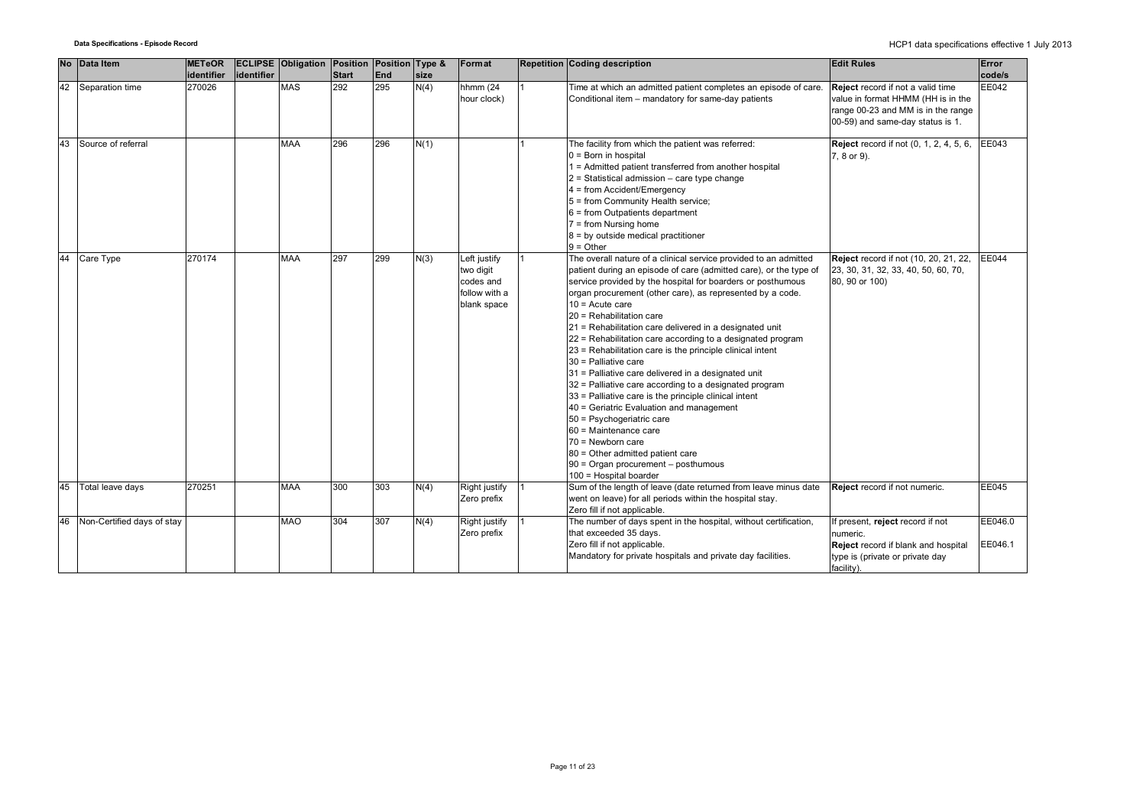|    | No Data Item               | <b>METeOR</b><br>identifier | identifier | <b>ECLIPSE Obligation Position Position Type &amp;</b> | Start | End | size | Format                                                                 | <b>Repetition Coding description</b>                                                                                                                                                                                                                                                                                                                                                                                                                                                                                                                                                                                                                                                                                                                                                                                                                                                                                                       | <b>Edit Rules</b>                                                                                                                                 | Error<br>code/s    |
|----|----------------------------|-----------------------------|------------|--------------------------------------------------------|-------|-----|------|------------------------------------------------------------------------|--------------------------------------------------------------------------------------------------------------------------------------------------------------------------------------------------------------------------------------------------------------------------------------------------------------------------------------------------------------------------------------------------------------------------------------------------------------------------------------------------------------------------------------------------------------------------------------------------------------------------------------------------------------------------------------------------------------------------------------------------------------------------------------------------------------------------------------------------------------------------------------------------------------------------------------------|---------------------------------------------------------------------------------------------------------------------------------------------------|--------------------|
| 42 | Separation time            | 270026                      |            | <b>MAS</b>                                             | 292   | 295 | N(4) | hhmm (24<br>hour clock)                                                | Time at which an admitted patient completes an episode of care.<br>Conditional item - mandatory for same-day patients                                                                                                                                                                                                                                                                                                                                                                                                                                                                                                                                                                                                                                                                                                                                                                                                                      | Reject record if not a valid time<br>value in format HHMM (HH is in the<br>range 00-23 and MM is in the range<br>00-59) and same-day status is 1. | EE042              |
| 43 | Source of referral         |                             |            | <b>MAA</b>                                             | 296   | 296 | N(1) |                                                                        | The facility from which the patient was referred:<br>$0 = Born$ in hospital<br>1 = Admitted patient transferred from another hospital<br>$2$ = Statistical admission – care type change<br>4 = from Accident/Emergency<br>5 = from Community Health service;<br>$6 = from Outpatients department$<br>$7 = from Nursing home$<br>$8 = by outside medical practitioner$<br>$9 = Other$                                                                                                                                                                                                                                                                                                                                                                                                                                                                                                                                                       | <b>Reject</b> record if not (0, 1, 2, 4, 5, 6,<br>7, 8 or 9).                                                                                     | EE043              |
| 44 | Care Type                  | 270174                      |            | <b>MAA</b>                                             | 297   | 299 | N(3) | Left justify<br>two digit<br>codes and<br>follow with a<br>blank space | The overall nature of a clinical service provided to an admitted<br>patient during an episode of care (admitted care), or the type of<br>service provided by the hospital for boarders or posthumous<br>organ procurement (other care), as represented by a code.<br>$10 =$ Acute care<br>20 = Rehabilitation care<br>21 = Rehabilitation care delivered in a designated unit<br>22 = Rehabilitation care according to a designated program<br>23 = Rehabilitation care is the principle clinical intent<br>30 = Palliative care<br>31 = Palliative care delivered in a designated unit<br>32 = Palliative care according to a designated program<br>33 = Palliative care is the principle clinical intent<br>40 = Geriatric Evaluation and management<br>50 = Psychogeriatric care<br>60 = Maintenance care<br>70 = Newborn care<br>80 = Other admitted patient care<br>$90$ = Organ procurement $-$ posthumous<br>100 = Hospital boarder | Reject record if not (10, 20, 21, 22,<br>23, 30, 31, 32, 33, 40, 50, 60, 70,<br>80, 90 or 100)                                                    | <b>EE044</b>       |
| 45 | Total leave days           | 270251                      |            | <b>MAA</b>                                             | 300   | 303 | N(4) | Right justify<br>Zero prefix                                           | Sum of the length of leave (date returned from leave minus date<br>went on leave) for all periods within the hospital stay.<br>Zero fill if not applicable.                                                                                                                                                                                                                                                                                                                                                                                                                                                                                                                                                                                                                                                                                                                                                                                | Reject record if not numeric.                                                                                                                     | <b>EE045</b>       |
| 46 | Non-Certified days of stay |                             |            | <b>MAO</b>                                             | 304   | 307 | N(4) | Right justify<br>Zero prefix                                           | The number of days spent in the hospital, without certification,<br>that exceeded 35 days.<br>Zero fill if not applicable.<br>Mandatory for private hospitals and private day facilities.                                                                                                                                                                                                                                                                                                                                                                                                                                                                                                                                                                                                                                                                                                                                                  | If present, reject record if not<br>numeric.<br>Reject record if blank and hospital<br>type is (private or private day<br>facility).              | EE046.0<br>EE046.1 |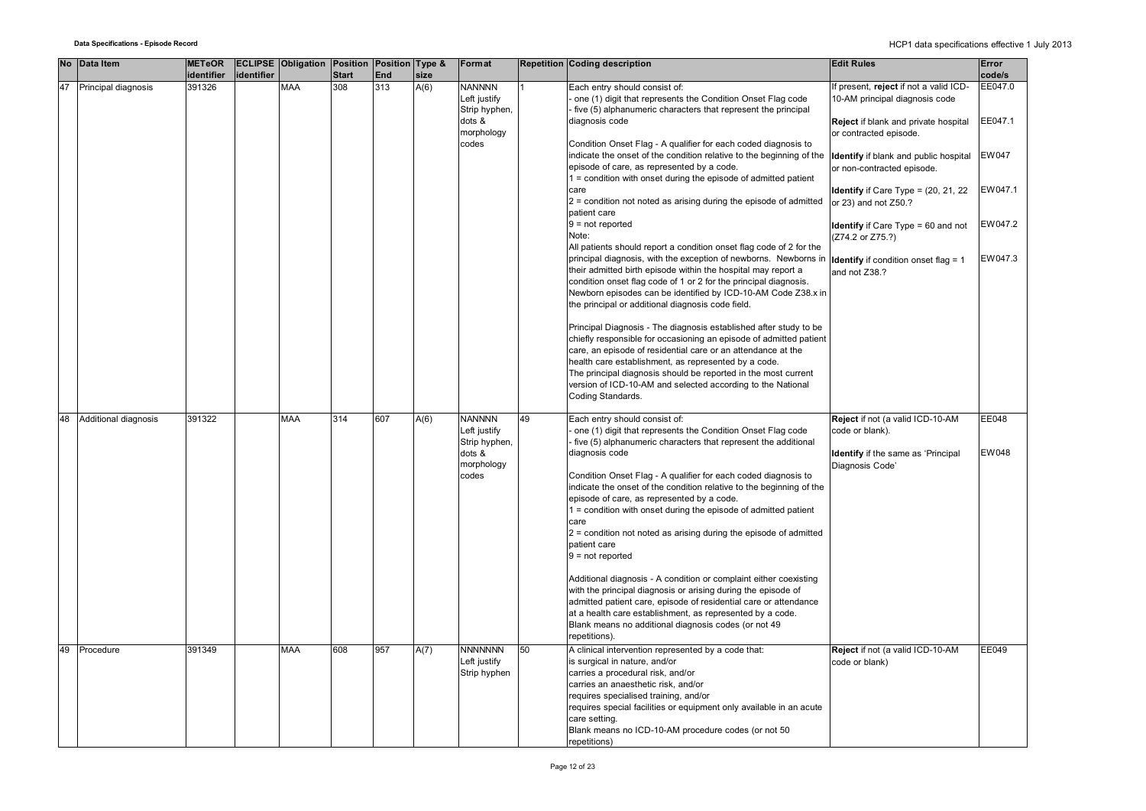|    | No Data Item         | <b>METeOR</b> |            | <b>ECLIPSE Obligation Position Position Type &amp;</b> |              |     |      | Format         |    | Repetition Coding description                                        | <b>Edit Rules</b>                           | Error   |
|----|----------------------|---------------|------------|--------------------------------------------------------|--------------|-----|------|----------------|----|----------------------------------------------------------------------|---------------------------------------------|---------|
|    |                      | identifier    | identifier |                                                        | <b>Start</b> | End | size |                |    |                                                                      |                                             | code/s  |
| 47 | Principal diagnosis  | 391326        |            | <b>MAA</b>                                             | 308          | 313 | A(6) | <b>NANNNN</b>  |    | Each entry should consist of:                                        | f present, reject if not a valid ICD-       | EE047.0 |
|    |                      |               |            |                                                        |              |     |      | Left justify   |    | one (1) digit that represents the Condition Onset Flag code          | 10-AM principal diagnosis code              |         |
|    |                      |               |            |                                                        |              |     |      | Strip hyphen,  |    | five (5) alphanumeric characters that represent the principal        |                                             |         |
|    |                      |               |            |                                                        |              |     |      | dots &         |    | diagnosis code                                                       | Reject if blank and private hospital        | EE047.1 |
|    |                      |               |            |                                                        |              |     |      | morphology     |    |                                                                      | or contracted episode.                      |         |
|    |                      |               |            |                                                        |              |     |      | codes          |    | Condition Onset Flag - A qualifier for each coded diagnosis to       |                                             |         |
|    |                      |               |            |                                                        |              |     |      |                |    | indicate the onset of the condition relative to the beginning of the | Identify if blank and public hospital       | EW047   |
|    |                      |               |            |                                                        |              |     |      |                |    | episode of care, as represented by a code.                           | or non-contracted episode.                  |         |
|    |                      |               |            |                                                        |              |     |      |                |    | 1 = condition with onset during the episode of admitted patient      |                                             |         |
|    |                      |               |            |                                                        |              |     |      |                |    | care                                                                 | Identify if Care Type = (20, 21, 22         | EW047.1 |
|    |                      |               |            |                                                        |              |     |      |                |    | $2$ = condition not noted as arising during the episode of admitted  | or 23) and not Z50.?                        |         |
|    |                      |               |            |                                                        |              |     |      |                |    | patient care                                                         |                                             |         |
|    |                      |               |            |                                                        |              |     |      |                |    | $9 = not reported$                                                   |                                             | EW047.2 |
|    |                      |               |            |                                                        |              |     |      |                |    |                                                                      | Identify if Care Type = 60 and not          |         |
|    |                      |               |            |                                                        |              |     |      |                |    | Note:                                                                | (Z74.2 or Z75.?)                            |         |
|    |                      |               |            |                                                        |              |     |      |                |    | All patients should report a condition onset flag code of 2 for the  |                                             |         |
|    |                      |               |            |                                                        |              |     |      |                |    | principal diagnosis, with the exception of newborns. Newborns in     | <b>Identify</b> if condition onset flag = 1 | EW047.3 |
|    |                      |               |            |                                                        |              |     |      |                |    | their admitted birth episode within the hospital may report a        | and not Z38.?                               |         |
|    |                      |               |            |                                                        |              |     |      |                |    | condition onset flag code of 1 or 2 for the principal diagnosis.     |                                             |         |
|    |                      |               |            |                                                        |              |     |      |                |    | Newborn episodes can be identified by ICD-10-AM Code Z38.x in        |                                             |         |
|    |                      |               |            |                                                        |              |     |      |                |    | the principal or additional diagnosis code field.                    |                                             |         |
|    |                      |               |            |                                                        |              |     |      |                |    |                                                                      |                                             |         |
|    |                      |               |            |                                                        |              |     |      |                |    | Principal Diagnosis - The diagnosis established after study to be    |                                             |         |
|    |                      |               |            |                                                        |              |     |      |                |    | chiefly responsible for occasioning an episode of admitted patient   |                                             |         |
|    |                      |               |            |                                                        |              |     |      |                |    | care, an episode of residential care or an attendance at the         |                                             |         |
|    |                      |               |            |                                                        |              |     |      |                |    | health care establishment, as represented by a code.                 |                                             |         |
|    |                      |               |            |                                                        |              |     |      |                |    |                                                                      |                                             |         |
|    |                      |               |            |                                                        |              |     |      |                |    | The principal diagnosis should be reported in the most current       |                                             |         |
|    |                      |               |            |                                                        |              |     |      |                |    | version of ICD-10-AM and selected according to the National          |                                             |         |
|    |                      |               |            |                                                        |              |     |      |                |    | Coding Standards.                                                    |                                             |         |
|    |                      |               |            |                                                        |              |     |      |                |    |                                                                      |                                             |         |
| 48 | Additional diagnosis | 391322        |            | <b>MAA</b>                                             | 314          | 607 | A(6) | <b>NANNNN</b>  | 49 | Each entry should consist of:                                        | Reject if not (a valid ICD-10-AM            | EE048   |
|    |                      |               |            |                                                        |              |     |      | Left justify   |    | one (1) digit that represents the Condition Onset Flag code          | code or blank).                             |         |
|    |                      |               |            |                                                        |              |     |      | Strip hyphen,  |    | five (5) alphanumeric characters that represent the additional       |                                             |         |
|    |                      |               |            |                                                        |              |     |      | dots &         |    | diagnosis code                                                       | Identify if the same as 'Principal          | EW048   |
|    |                      |               |            |                                                        |              |     |      | morphology     |    |                                                                      | Diagnosis Code'                             |         |
|    |                      |               |            |                                                        |              |     |      | codes          |    | Condition Onset Flag - A qualifier for each coded diagnosis to       |                                             |         |
|    |                      |               |            |                                                        |              |     |      |                |    | indicate the onset of the condition relative to the beginning of the |                                             |         |
|    |                      |               |            |                                                        |              |     |      |                |    | episode of care, as represented by a code.                           |                                             |         |
|    |                      |               |            |                                                        |              |     |      |                |    | 1 = condition with onset during the episode of admitted patient      |                                             |         |
|    |                      |               |            |                                                        |              |     |      |                |    | care                                                                 |                                             |         |
|    |                      |               |            |                                                        |              |     |      |                |    | $2$ = condition not noted as arising during the episode of admitted  |                                             |         |
|    |                      |               |            |                                                        |              |     |      |                |    | patient care                                                         |                                             |         |
|    |                      |               |            |                                                        |              |     |      |                |    | $9 = not reported$                                                   |                                             |         |
|    |                      |               |            |                                                        |              |     |      |                |    |                                                                      |                                             |         |
|    |                      |               |            |                                                        |              |     |      |                |    |                                                                      |                                             |         |
|    |                      |               |            |                                                        |              |     |      |                |    | Additional diagnosis - A condition or complaint either coexisting    |                                             |         |
|    |                      |               |            |                                                        |              |     |      |                |    | with the principal diagnosis or arising during the episode of        |                                             |         |
|    |                      |               |            |                                                        |              |     |      |                |    | admitted patient care, episode of residential care or attendance     |                                             |         |
|    |                      |               |            |                                                        |              |     |      |                |    | at a health care establishment, as represented by a code.            |                                             |         |
|    |                      |               |            |                                                        |              |     |      |                |    | Blank means no additional diagnosis codes (or not 49                 |                                             |         |
|    |                      |               |            |                                                        |              |     |      |                |    | repetitions).                                                        |                                             |         |
| 49 | Procedure            | 391349        |            | <b>MAA</b>                                             | 608          | 957 | A(7) | <b>NNNNNNN</b> | 50 | A clinical intervention represented by a code that:                  | Reject if not (a valid ICD-10-AM            | EE049   |
|    |                      |               |            |                                                        |              |     |      | Left justify   |    | is surgical in nature, and/or                                        | code or blank)                              |         |
|    |                      |               |            |                                                        |              |     |      |                |    | carries a procedural risk, and/or                                    |                                             |         |
|    |                      |               |            |                                                        |              |     |      | Strip hyphen   |    |                                                                      |                                             |         |
|    |                      |               |            |                                                        |              |     |      |                |    | carries an anaesthetic risk, and/or                                  |                                             |         |
|    |                      |               |            |                                                        |              |     |      |                |    | requires specialised training, and/or                                |                                             |         |
|    |                      |               |            |                                                        |              |     |      |                |    | requires special facilities or equipment only available in an acute  |                                             |         |
|    |                      |               |            |                                                        |              |     |      |                |    | care setting.                                                        |                                             |         |
|    |                      |               |            |                                                        |              |     |      |                |    | Blank means no ICD-10-AM procedure codes (or not 50                  |                                             |         |
|    |                      |               |            |                                                        |              |     |      |                |    | repetitions)                                                         |                                             |         |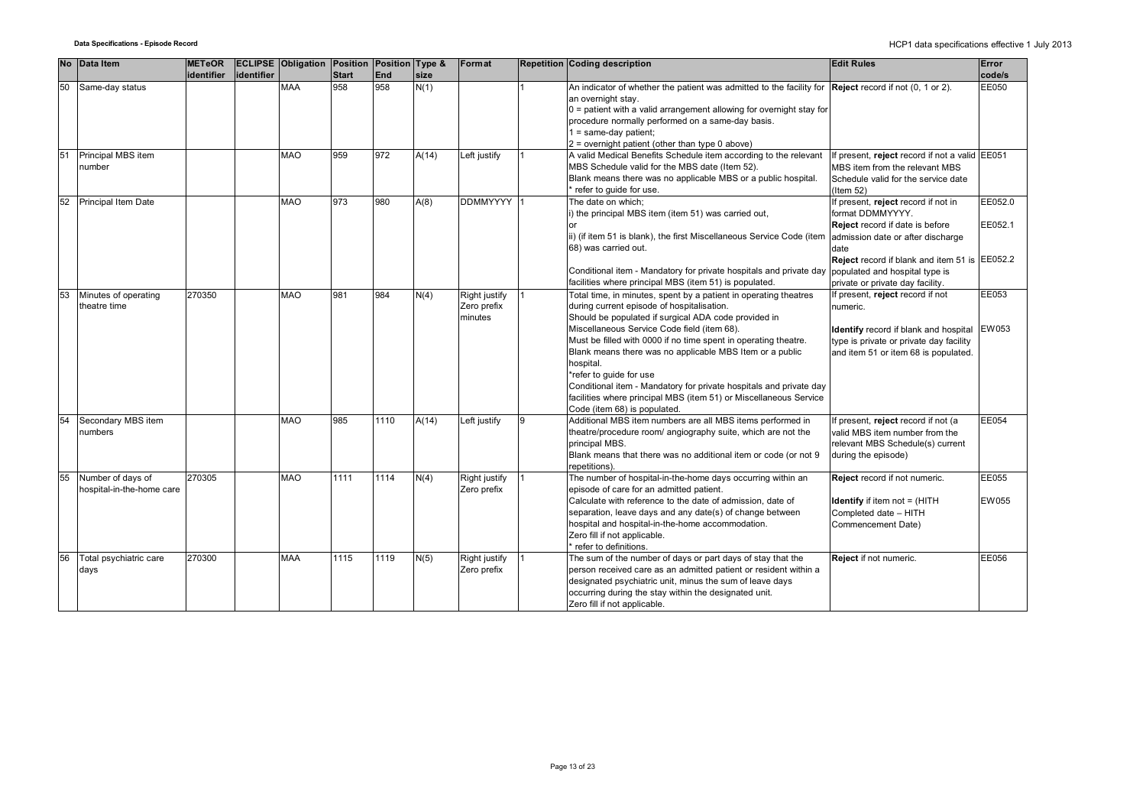| <b>No</b> | Data Item                            | <b>METeOR</b> |            | <b>ECLIPSE Obligation Position Position Type &amp;</b> |                     |            |              | Format                       |   | <b>Repetition Coding description</b>                                                                                      | <b>Edit Rules</b>                                       | Error           |
|-----------|--------------------------------------|---------------|------------|--------------------------------------------------------|---------------------|------------|--------------|------------------------------|---|---------------------------------------------------------------------------------------------------------------------------|---------------------------------------------------------|-----------------|
| 50        | Same-day status                      | identifier    | identifier | <b>MAA</b>                                             | <b>Start</b><br>958 | End<br>958 | size<br>N(1) |                              |   | An indicator of whether the patient was admitted to the facility for <b>Reject</b> record if not $(0, 1 \text{ or } 2)$ . |                                                         | code/s<br>EE050 |
|           |                                      |               |            |                                                        |                     |            |              |                              |   | an overnight stay.                                                                                                        |                                                         |                 |
|           |                                      |               |            |                                                        |                     |            |              |                              |   | $0$ = patient with a valid arrangement allowing for overnight stay for                                                    |                                                         |                 |
|           |                                      |               |            |                                                        |                     |            |              |                              |   | procedure normally performed on a same-day basis.                                                                         |                                                         |                 |
|           |                                      |               |            |                                                        |                     |            |              |                              |   | $1 = same-day patient;$<br>$2$ = overnight patient (other than type 0 above)                                              |                                                         |                 |
| 51        | Principal MBS item                   |               |            | <b>MAO</b>                                             | 959                 | 972        | A(14)        | Left justify                 |   | A valid Medical Benefits Schedule item according to the relevant                                                          | If present, reject record if not a valid EE051          |                 |
|           | number                               |               |            |                                                        |                     |            |              |                              |   | MBS Schedule valid for the MBS date (Item 52).                                                                            | MBS item from the relevant MBS                          |                 |
|           |                                      |               |            |                                                        |                     |            |              |                              |   | Blank means there was no applicable MBS or a public hospital.                                                             | Schedule valid for the service date                     |                 |
|           |                                      |               |            |                                                        |                     |            |              |                              |   | * refer to guide for use.                                                                                                 | $l$ tem 52)                                             |                 |
| 52        | Principal Item Date                  |               |            | <b>MAO</b>                                             | 973                 | 980        | A(8)         | DDMMYYYY 1                   |   | The date on which;                                                                                                        | If present, reject record if not in                     | EE052.0         |
|           |                                      |               |            |                                                        |                     |            |              |                              |   | i) the principal MBS item (item 51) was carried out,                                                                      | format DDMMYYYY.<br>Reject record if date is before     | EE052.1         |
|           |                                      |               |            |                                                        |                     |            |              |                              |   | ii) (if item 51 is blank), the first Miscellaneous Service Code (item                                                     | admission date or after discharge                       |                 |
|           |                                      |               |            |                                                        |                     |            |              |                              |   | 68) was carried out.                                                                                                      | date                                                    |                 |
|           |                                      |               |            |                                                        |                     |            |              |                              |   |                                                                                                                           | Reject record if blank and item 51 is EE052.2           |                 |
|           |                                      |               |            |                                                        |                     |            |              |                              |   | Conditional item - Mandatory for private hospitals and private day                                                        | populated and hospital type is                          |                 |
|           |                                      |               |            |                                                        |                     |            |              |                              |   | facilities where principal MBS (item 51) is populated.                                                                    | private or private day facility.                        |                 |
| 53        | Minutes of operating<br>theatre time | 270350        |            | <b>MAO</b>                                             | 981                 | 984        | N(4)         | Right justify<br>Zero prefix |   | Total time, in minutes, spent by a patient in operating theatres<br>during current episode of hospitalisation.            | f present, reject record if not<br>numeric.             | EE053           |
|           |                                      |               |            |                                                        |                     |            |              | minutes                      |   | Should be populated if surgical ADA code provided in                                                                      |                                                         |                 |
|           |                                      |               |            |                                                        |                     |            |              |                              |   | Miscellaneous Service Code field (item 68).                                                                               | Identify record if blank and hospital EW053             |                 |
|           |                                      |               |            |                                                        |                     |            |              |                              |   | Must be filled with 0000 if no time spent in operating theatre.                                                           | type is private or private day facility                 |                 |
|           |                                      |               |            |                                                        |                     |            |              |                              |   | Blank means there was no applicable MBS Item or a public                                                                  | and item 51 or item 68 is populated.                    |                 |
|           |                                      |               |            |                                                        |                     |            |              |                              |   | hospital.<br>*refer to guide for use                                                                                      |                                                         |                 |
|           |                                      |               |            |                                                        |                     |            |              |                              |   | Conditional item - Mandatory for private hospitals and private day                                                        |                                                         |                 |
|           |                                      |               |            |                                                        |                     |            |              |                              |   | facilities where principal MBS (item 51) or Miscellaneous Service                                                         |                                                         |                 |
|           |                                      |               |            |                                                        |                     |            |              |                              |   | Code (item 68) is populated.                                                                                              |                                                         |                 |
| 54        | Secondary MBS item                   |               |            | <b>MAO</b>                                             | 985                 | 1110       | A(14)        | Left justify                 | 9 | Additional MBS item numbers are all MBS items performed in                                                                | f present, reject record if not (a                      | <b>EE054</b>    |
|           | numbers                              |               |            |                                                        |                     |            |              |                              |   | theatre/procedure room/ angiography suite, which are not the                                                              | valid MBS item number from the                          |                 |
|           |                                      |               |            |                                                        |                     |            |              |                              |   | principal MBS.<br>Blank means that there was no additional item or code (or not 9                                         | relevant MBS Schedule(s) current<br>during the episode) |                 |
|           |                                      |               |            |                                                        |                     |            |              |                              |   | repetitions).                                                                                                             |                                                         |                 |
| 55        | Number of days of                    | 270305        |            | <b>MAO</b>                                             | 1111                | 1114       | N(4)         | Right justify                |   | The number of hospital-in-the-home days occurring within an                                                               | Reject record if not numeric.                           | EE055           |
|           | hospital-in-the-home care            |               |            |                                                        |                     |            |              | Zero prefix                  |   | episode of care for an admitted patient.                                                                                  |                                                         |                 |
|           |                                      |               |            |                                                        |                     |            |              |                              |   | Calculate with reference to the date of admission, date of                                                                | <b>Identify</b> if item not = (HITH                     | <b>EW055</b>    |
|           |                                      |               |            |                                                        |                     |            |              |                              |   | separation, leave days and any date(s) of change between<br>hospital and hospital-in-the-home accommodation.              | Completed date - HITH<br>Commencement Date)             |                 |
|           |                                      |               |            |                                                        |                     |            |              |                              |   | Zero fill if not applicable.                                                                                              |                                                         |                 |
|           |                                      |               |            |                                                        |                     |            |              |                              |   | * refer to definitions.                                                                                                   |                                                         |                 |
| 56        | Total psychiatric care               | 270300        |            | <b>MAA</b>                                             | 1115                | 1119       | N(5)         | <b>Right justify</b>         |   | The sum of the number of days or part days of stay that the                                                               | Reject if not numeric.                                  | <b>EE056</b>    |
|           | days                                 |               |            |                                                        |                     |            |              | Zero prefix                  |   | person received care as an admitted patient or resident within a                                                          |                                                         |                 |
|           |                                      |               |            |                                                        |                     |            |              |                              |   | designated psychiatric unit, minus the sum of leave days                                                                  |                                                         |                 |
|           |                                      |               |            |                                                        |                     |            |              |                              |   | occurring during the stay within the designated unit.<br>Zero fill if not applicable.                                     |                                                         |                 |
|           |                                      |               |            |                                                        |                     |            |              |                              |   |                                                                                                                           |                                                         |                 |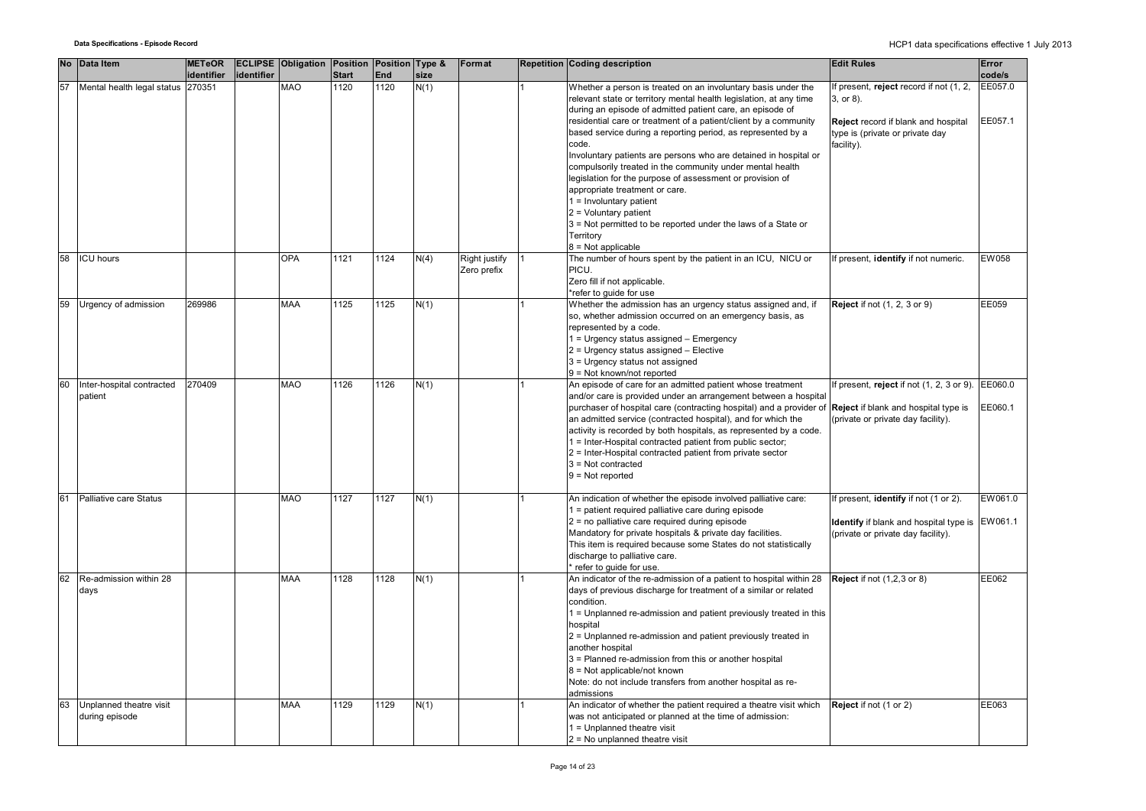|    | No Data Item                              | <b>METeOR</b> |            | <b>ECLIPSE Obligation Position Position Type &amp;</b> |              |      |      | Format                       | <b>Repetition Coding description</b>                                                                                                                                                                                                                                                                                                                                                                                                                                                                                                                                                                                                                                                                 | <b>Edit Rules</b>                                                                                                                                  | Error              |
|----|-------------------------------------------|---------------|------------|--------------------------------------------------------|--------------|------|------|------------------------------|------------------------------------------------------------------------------------------------------------------------------------------------------------------------------------------------------------------------------------------------------------------------------------------------------------------------------------------------------------------------------------------------------------------------------------------------------------------------------------------------------------------------------------------------------------------------------------------------------------------------------------------------------------------------------------------------------|----------------------------------------------------------------------------------------------------------------------------------------------------|--------------------|
|    |                                           | identifier    | identifier |                                                        | <b>Start</b> | End  | size |                              |                                                                                                                                                                                                                                                                                                                                                                                                                                                                                                                                                                                                                                                                                                      |                                                                                                                                                    | code/s             |
| 57 | Mental health legal status 270351         |               |            | <b>MAO</b>                                             | 1120         | 1120 | N(1) |                              | Whether a person is treated on an involuntary basis under the<br>relevant state or territory mental health legislation, at any time<br>during an episode of admitted patient care, an episode of<br>residential care or treatment of a patient/client by a community<br>based service during a reporting period, as represented by a<br>code.<br>Involuntary patients are persons who are detained in hospital or<br>compulsorily treated in the community under mental health<br>legislation for the purpose of assessment or provision of<br>appropriate treatment or care.<br>1 = Involuntary patient<br>$2$ = Voluntary patient<br>3 = Not permitted to be reported under the laws of a State or | If present, reject record if not (1, 2,<br>3, or 8).<br>Reject record if blank and hospital<br>type is (private or private day<br>facility).       | EE057.0<br>EE057.1 |
|    |                                           |               |            |                                                        |              |      |      |                              | Territory<br>$8 = Not applicable$                                                                                                                                                                                                                                                                                                                                                                                                                                                                                                                                                                                                                                                                    |                                                                                                                                                    |                    |
| 58 | <b>ICU hours</b>                          |               |            | <b>OPA</b>                                             | 1121         | 1124 | N(4) | Right justify<br>Zero prefix | The number of hours spent by the patient in an ICU, NICU or<br>PICU.<br>Zero fill if not applicable.<br>*refer to quide for use                                                                                                                                                                                                                                                                                                                                                                                                                                                                                                                                                                      | If present, identify if not numeric.                                                                                                               | EW058              |
| 59 | Urgency of admission                      | 269986        |            | <b>MAA</b>                                             | 1125         | 1125 | N(1) |                              | Whether the admission has an urgency status assigned and, if<br>so, whether admission occurred on an emergency basis, as<br>represented by a code.<br>1 = Urgency status assigned - Emergency<br>2 = Urgency status assigned - Elective<br>3 = Urgency status not assigned<br>9 = Not known/not reported                                                                                                                                                                                                                                                                                                                                                                                             | <b>Reject if not (1, 2, 3 or 9)</b>                                                                                                                | EE059              |
| 60 | Inter-hospital contracted<br>patient      | 270409        |            | <b>MAO</b>                                             | 1126         | 1126 | N(1) |                              | An episode of care for an admitted patient whose treatment<br>and/or care is provided under an arrangement between a hospital<br>purchaser of hospital care (contracting hospital) and a provider of<br>an admitted service (contracted hospital), and for which the<br>activity is recorded by both hospitals, as represented by a code.<br>1 = Inter-Hospital contracted patient from public sector;<br>2 = Inter-Hospital contracted patient from private sector<br>$3 = Not contracted$<br>$9 = Not reported$                                                                                                                                                                                    | If present, reject if not $(1, 2, 3 \text{ or } 9)$ . EE060.0<br><b>Reject</b> if blank and hospital type is<br>(private or private day facility). | EE060.1            |
|    | Palliative care Status                    |               |            | <b>MAO</b>                                             | 1127         | 1127 | N(1) |                              | An indication of whether the episode involved palliative care:<br>1 = patient required palliative care during episode<br>2 = no palliative care required during episode<br>Mandatory for private hospitals & private day facilities.<br>This item is required because some States do not statistically<br>discharge to palliative care.<br>* refer to guide for use.                                                                                                                                                                                                                                                                                                                                 | If present, identify if not (1 or 2).<br><b>Identify</b> if blank and hospital type is EW061.1<br>(private or private day facility).               | EW061.0            |
| 62 | Re-admission within 28<br>days            |               |            | <b>MAA</b>                                             | 1128         | 1128 | N(1) |                              | An indicator of the re-admission of a patient to hospital within 28<br>days of previous discharge for treatment of a similar or related<br>condition.<br>1 = Unplanned re-admission and patient previously treated in this<br>hospital<br>2 = Unplanned re-admission and patient previously treated in<br>another hospital<br>3 = Planned re-admission from this or another hospital<br>8 = Not applicable/not known<br>Note: do not include transfers from another hospital as re-<br>admissions                                                                                                                                                                                                    | <b>Reject</b> if not (1,2,3 or 8)                                                                                                                  | EE062              |
| 63 | Unplanned theatre visit<br>during episode |               |            | <b>MAA</b>                                             | 1129         | 1129 | N(1) |                              | An indicator of whether the patient required a theatre visit which<br>was not anticipated or planned at the time of admission:<br>$1 =$ Unplanned theatre visit<br>$2$ = No unplanned theatre visit                                                                                                                                                                                                                                                                                                                                                                                                                                                                                                  | Reject if not (1 or 2)                                                                                                                             | EE063              |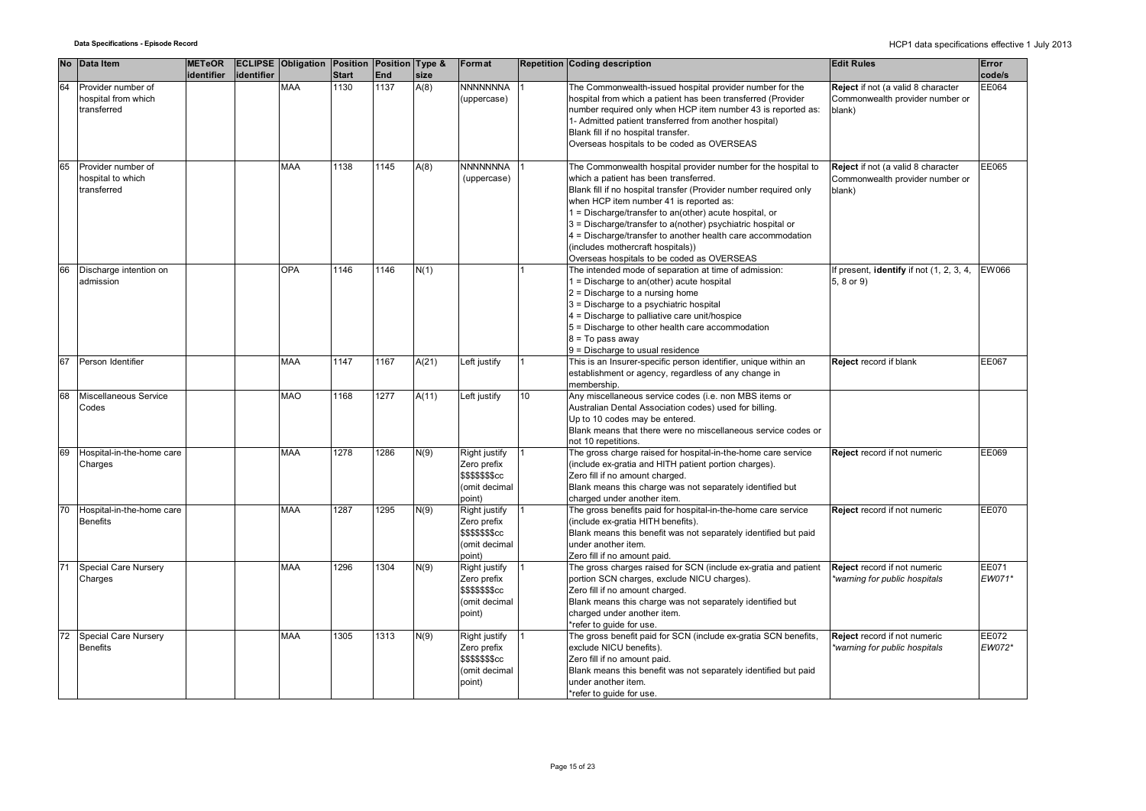|    | No Data Item                                             | <b>METeOR</b> |            | <b>ECLIPSE Obligation Position Position Type &amp;</b> |              |      |       | Format                                                                                   |    | <b>Repetition Coding description</b>                                                                                                                                                                                                                                                                                                                                                                                                                                                              | <b>Edit Rules</b>                                                               | Error                  |
|----|----------------------------------------------------------|---------------|------------|--------------------------------------------------------|--------------|------|-------|------------------------------------------------------------------------------------------|----|---------------------------------------------------------------------------------------------------------------------------------------------------------------------------------------------------------------------------------------------------------------------------------------------------------------------------------------------------------------------------------------------------------------------------------------------------------------------------------------------------|---------------------------------------------------------------------------------|------------------------|
|    |                                                          | identifier    | identifier |                                                        | <b>Start</b> | End  | size  |                                                                                          |    |                                                                                                                                                                                                                                                                                                                                                                                                                                                                                                   |                                                                                 | code/s                 |
| 64 | Provider number of<br>hospital from which<br>transferred |               |            | <b>MAA</b>                                             | 1130         | 1137 | A(8)  | NNNNNNNA<br>uppercase)                                                                   |    | The Commonwealth-issued hospital provider number for the<br>hospital from which a patient has been transferred (Provider<br>number required only when HCP item number 43 is reported as:<br>1- Admitted patient transferred from another hospital)<br>Blank fill if no hospital transfer.<br>Overseas hospitals to be coded as OVERSEAS                                                                                                                                                           | Reject if not (a valid 8 character<br>Commonwealth provider number or<br>blank) | EE064                  |
| 65 | Provider number of<br>hospital to which<br>transferred   |               |            | <b>MAA</b>                                             | 1138         | 1145 | A(8)  | <b>NNNNNNNA</b><br>(uppercase)                                                           |    | The Commonwealth hospital provider number for the hospital to<br>which a patient has been transferred.<br>Blank fill if no hospital transfer (Provider number required only<br>when HCP item number 41 is reported as:<br>1 = Discharge/transfer to an(other) acute hospital, or<br>3 = Discharge/transfer to a(nother) psychiatric hospital or<br>4 = Discharge/transfer to another health care accommodation<br>(includes mothercraft hospitals))<br>Overseas hospitals to be coded as OVERSEAS | Reject if not (a valid 8 character<br>Commonwealth provider number or<br>blank) | EE065                  |
| 66 | Discharge intention on<br>admission                      |               |            | <b>OPA</b>                                             | 1146         | 1146 | N(1)  |                                                                                          |    | The intended mode of separation at time of admission:<br>1 = Discharge to an(other) acute hospital<br>$2$ = Discharge to a nursing home<br>3 = Discharge to a psychiatric hospital<br>4 = Discharge to palliative care unit/hospice<br>5 = Discharge to other health care accommodation<br>$8 = To pass away$<br>9 = Discharge to usual residence                                                                                                                                                 | If present, identify if not (1, 2, 3, 4,<br>5, 8 or 9)                          | EW066                  |
| 67 | Person Identifier                                        |               |            | <b>MAA</b>                                             | 1147         | 1167 | A(21) | Left justify                                                                             |    | This is an Insurer-specific person identifier, unique within an<br>establishment or agency, regardless of any change in<br>membership.                                                                                                                                                                                                                                                                                                                                                            | Reject record if blank                                                          | <b>EE067</b>           |
| 68 | Miscellaneous Service<br>Codes                           |               |            | <b>MAO</b>                                             | 1168         | 1277 | A(11) | Left justify                                                                             | 10 | Any miscellaneous service codes (i.e. non MBS items or<br>Australian Dental Association codes) used for billing.<br>Up to 10 codes may be entered.<br>Blank means that there were no miscellaneous service codes or<br>not 10 repetitions.                                                                                                                                                                                                                                                        |                                                                                 |                        |
| 69 | Hospital-in-the-home care<br>Charges                     |               |            | <b>MAA</b>                                             | 1278         | 1286 | N(9)  | Right justify<br>Zero prefix<br><b>\$\$\$\$\$\$\$cc</b><br>(omit decimal<br>point)       |    | The gross charge raised for hospital-in-the-home care service<br>(include ex-gratia and HITH patient portion charges).<br>Zero fill if no amount charged.<br>Blank means this charge was not separately identified but<br>charged under another item.                                                                                                                                                                                                                                             | Reject record if not numeric                                                    | EE069                  |
| 70 | Hospital-in-the-home care<br><b>Benefits</b>             |               |            | <b>MAA</b>                                             | 1287         | 1295 | N(9)  | Right justify<br>Zero prefix<br>\$\$\$\$\$\$cc<br>(omit decimal<br>point)                |    | The gross benefits paid for hospital-in-the-home care service<br>(include ex-gratia HITH benefits).<br>Blank means this benefit was not separately identified but paid<br>under another item.<br>Zero fill if no amount paid.                                                                                                                                                                                                                                                                     | Reject record if not numeric                                                    | EE070                  |
| 71 | Special Care Nursery<br>Charges                          |               |            | <b>MAA</b>                                             | 1296         | 1304 | N(9)  | Right justify<br>Zero prefix<br>\$\$\$\$\$\$ <sub>\$</sub> cc<br>(omit decimal<br>point) |    | The gross charges raised for SCN (include ex-gratia and patient<br>portion SCN charges, exclude NICU charges).<br>Zero fill if no amount charged.<br>Blank means this charge was not separately identified but<br>charged under another item.<br>*refer to quide for use.                                                                                                                                                                                                                         | Reject record if not numeric<br>*warning for public hospitals                   | EE071<br>EW071*        |
| 72 | <b>Special Care Nursery</b><br><b>Benefits</b>           |               |            | <b>MAA</b>                                             | 1305         | 1313 | N(9)  | Right justify<br>Zero prefix<br>\$\$\$\$\$\$ <sub>\$</sub> cc<br>(omit decimal<br>point) |    | The gross benefit paid for SCN (include ex-gratia SCN benefits,<br>exclude NICU benefits).<br>Zero fill if no amount paid.<br>Blank means this benefit was not separately identified but paid<br>under another item.<br>*refer to quide for use.                                                                                                                                                                                                                                                  | Reject record if not numeric<br>*warning for public hospitals                   | <b>EE072</b><br>EW072* |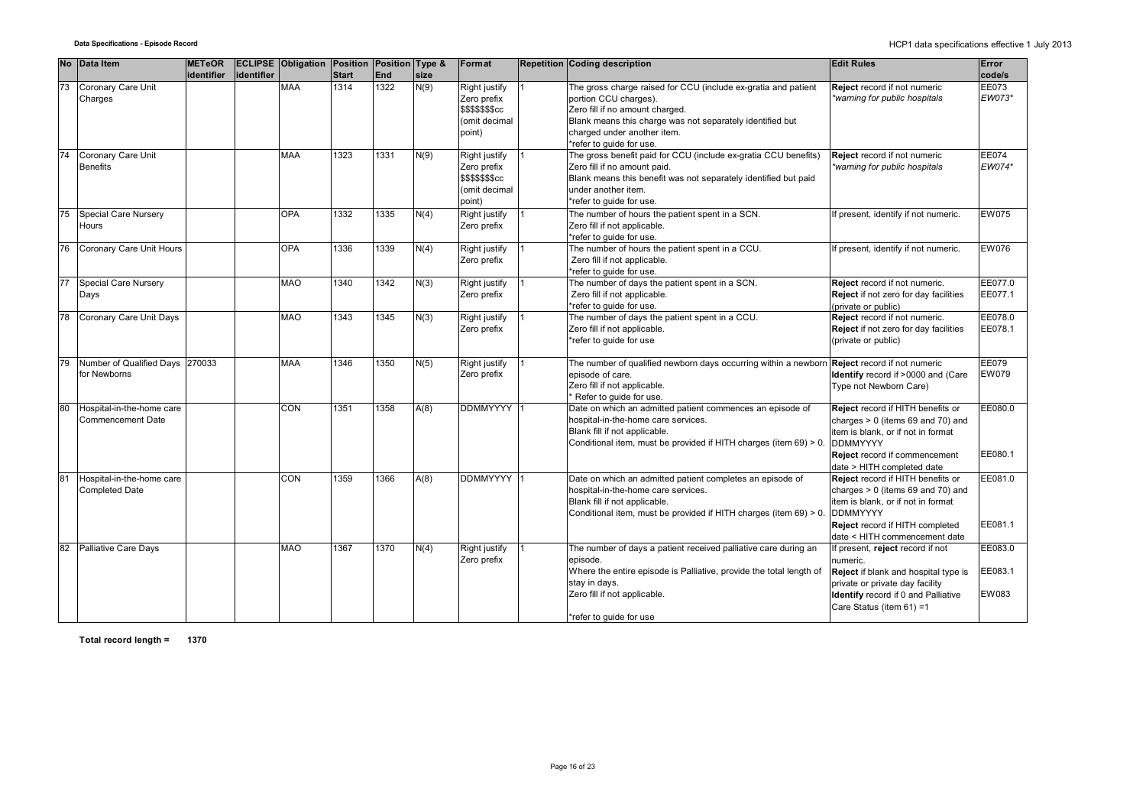| <b>No</b> | <b>Data Item</b>                                   | <b>METeOR</b> |            | <b>ECLIPSE Obligation Position Position Type &amp;</b> |              |            |      | Format                                                                                  | <b>Repetition Coding description</b>                                                                                                                                                                                                               | <b>Edit Rules</b>                                                                                                                                                                                     | Error                       |
|-----------|----------------------------------------------------|---------------|------------|--------------------------------------------------------|--------------|------------|------|-----------------------------------------------------------------------------------------|----------------------------------------------------------------------------------------------------------------------------------------------------------------------------------------------------------------------------------------------------|-------------------------------------------------------------------------------------------------------------------------------------------------------------------------------------------------------|-----------------------------|
|           |                                                    | identifier    | identifier |                                                        | <b>Start</b> | <b>End</b> | size |                                                                                         |                                                                                                                                                                                                                                                    |                                                                                                                                                                                                       | code/s                      |
| 73        | Coronary Care Unit<br>Charges                      |               |            | <b>MAA</b>                                             | 1314         | 1322       | N(9) | Right justify<br>Zero prefix<br><b>\$\$\$\$\$\$\$cc</b><br>(omit decimal<br>point)      | The gross charge raised for CCU (include ex-gratia and patient<br>portion CCU charges).<br>Zero fill if no amount charged.<br>Blank means this charge was not separately identified but<br>charged under another item.<br>*refer to quide for use. | Reject record if not numeric<br>*warning for public hospitals                                                                                                                                         | EE073<br>EW073*             |
| 74        | Coronary Care Unit<br><b>Benefits</b>              |               |            | MAA                                                    | 1323         | 1331       | N(9) | Right justify<br>Zero prefix<br>\$\$\$\$\$\$ <sub>\$cc</sub><br>(omit decimal<br>point) | The gross benefit paid for CCU (include ex-gratia CCU benefits)<br>Zero fill if no amount paid.<br>Blank means this benefit was not separately identified but paid<br>under another item.<br>*refer to quide for use.                              | Reject record if not numeric<br>warning for public hospitals                                                                                                                                          | EE074<br>EW074*             |
| 75        | Special Care Nursery<br>Hours                      |               |            | <b>OPA</b>                                             | 1332         | 1335       | N(4) | Right justify<br>Zero prefix                                                            | The number of hours the patient spent in a SCN.<br>Zero fill if not applicable.<br>*refer to guide for use.                                                                                                                                        | f present, identify if not numeric.                                                                                                                                                                   | EW075                       |
| 76        | Coronary Care Unit Hours                           |               |            | <b>OPA</b>                                             | 1336         | 1339       | N(4) | Right justify<br>Zero prefix                                                            | The number of hours the patient spent in a CCU.<br>Zero fill if not applicable.<br>*refer to guide for use.                                                                                                                                        | f present, identify if not numeric.                                                                                                                                                                   | <b>EW076</b>                |
| 77        | <b>Special Care Nursery</b><br>Days                |               |            | <b>MAO</b>                                             | 1340         | 1342       | N(3) | Right justify<br>Zero prefix                                                            | The number of days the patient spent in a SCN.<br>Zero fill if not applicable.<br>*refer to guide for use.                                                                                                                                         | Reject record if not numeric.<br>Reject if not zero for day facilities<br>(private or public)                                                                                                         | EE077.0<br>EE077.1          |
| 78        | Coronary Care Unit Days                            |               |            | <b>MAO</b>                                             | 1343         | 1345       | N(3) | Right justify<br>Zero prefix                                                            | The number of days the patient spent in a CCU.<br>Zero fill if not applicable.<br>*refer to guide for use                                                                                                                                          | Reject record if not numeric.<br>Reject if not zero for day facilities<br>(private or public)                                                                                                         | EE078.0<br>EE078.1          |
| 79        | Number of Qualified Days 270033<br>for Newborns    |               |            | <b>MAA</b>                                             | 1346         | 1350       | N(5) | Right justify<br>Zero prefix                                                            | The number of qualified newborn days occurring within a newborr<br>episode of care.<br>Zero fill if not applicable.<br>Refer to quide for use.                                                                                                     | Reject record if not numeric<br>Identify record if >0000 and (Care<br>Type not Newborn Care)                                                                                                          | EE079<br>EW079              |
| 80        | Hospital-in-the-home care<br>Commencement Date     |               |            | CON                                                    | 1351         | 1358       | A(8) | <b>DDMMYYYY</b>                                                                         | Date on which an admitted patient commences an episode of<br>hospital-in-the-home care services.<br>Blank fill if not applicable.<br>Conditional item, must be provided if HITH charges (item 69) > 0.                                             | Reject record if HITH benefits or<br>charges $> 0$ (items 69 and 70) and<br>item is blank, or if not in format<br><b>DDMMYYYY</b><br>Reject record if commencement<br>date > HITH completed date      | EE080.0<br>EE080.1          |
| 81        | Hospital-in-the-home care<br><b>Completed Date</b> |               |            | CON                                                    | 1359         | 1366       | A(8) | <b>DDMMYYYY</b>                                                                         | Date on which an admitted patient completes an episode of<br>hospital-in-the-home care services.<br>Blank fill if not applicable.<br>Conditional item, must be provided if HITH charges (item 69) > 0                                              | Reject record if HITH benefits or<br>charges $> 0$ (items 69 and 70) and<br>item is blank, or if not in format<br><b>DDMMYYYY</b><br>Reject record if HITH completed<br>date < HITH commencement date | EE081.0<br>EE081.1          |
| 82        | <b>Palliative Care Days</b>                        |               |            | <b>MAO</b>                                             | 1367         | 1370       | N(4) | Right justify<br>Zero prefix                                                            | The number of days a patient received palliative care during an<br>episode.<br>Where the entire episode is Palliative, provide the total length of<br>stay in days.<br>Zero fill if not applicable.<br>*refer to guide for use                     | If present, reject record if not<br>numeric.<br>Reject if blank and hospital type is<br>private or private day facility<br>Identify record if 0 and Palliative<br>Care Status (item 61) =1            | EE083.0<br>EE083.1<br>EW083 |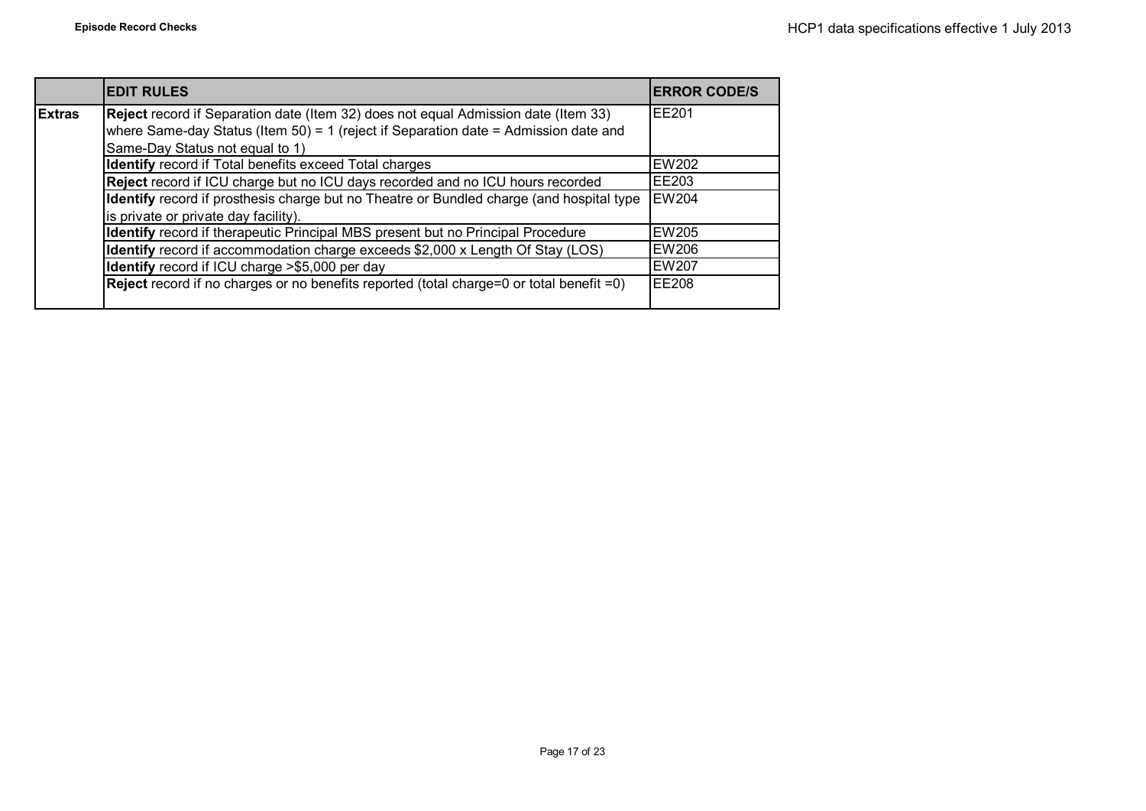|               | <b>EDIT RULES</b>                                                                        | <b>ERROR CODE/S</b> |
|---------------|------------------------------------------------------------------------------------------|---------------------|
| <b>Extras</b> | Reject record if Separation date (Item 32) does not equal Admission date (Item 33)       | <b>FE201</b>        |
|               | where Same-day Status (Item 50) = 1 (reject if Separation date = Admission date and      |                     |
|               | Same-Day Status not equal to 1)                                                          |                     |
|               | Identify record if Total benefits exceed Total charges                                   | <b>EW202</b>        |
|               | Reject record if ICU charge but no ICU days recorded and no ICU hours recorded           | EE203               |
|               | Identify record if prosthesis charge but no Theatre or Bundled charge (and hospital type | <b>EW204</b>        |
|               | is private or private day facility).                                                     |                     |
|               | Identify record if therapeutic Principal MBS present but no Principal Procedure          | <b>EW205</b>        |
|               | Identify record if accommodation charge exceeds \$2,000 x Length Of Stay (LOS)           | EW206               |
|               | Identify record if ICU charge >\$5,000 per day                                           | <b>EW207</b>        |
|               | Reject record if no charges or no benefits reported (total charge=0 or total benefit =0) | <b>EE208</b>        |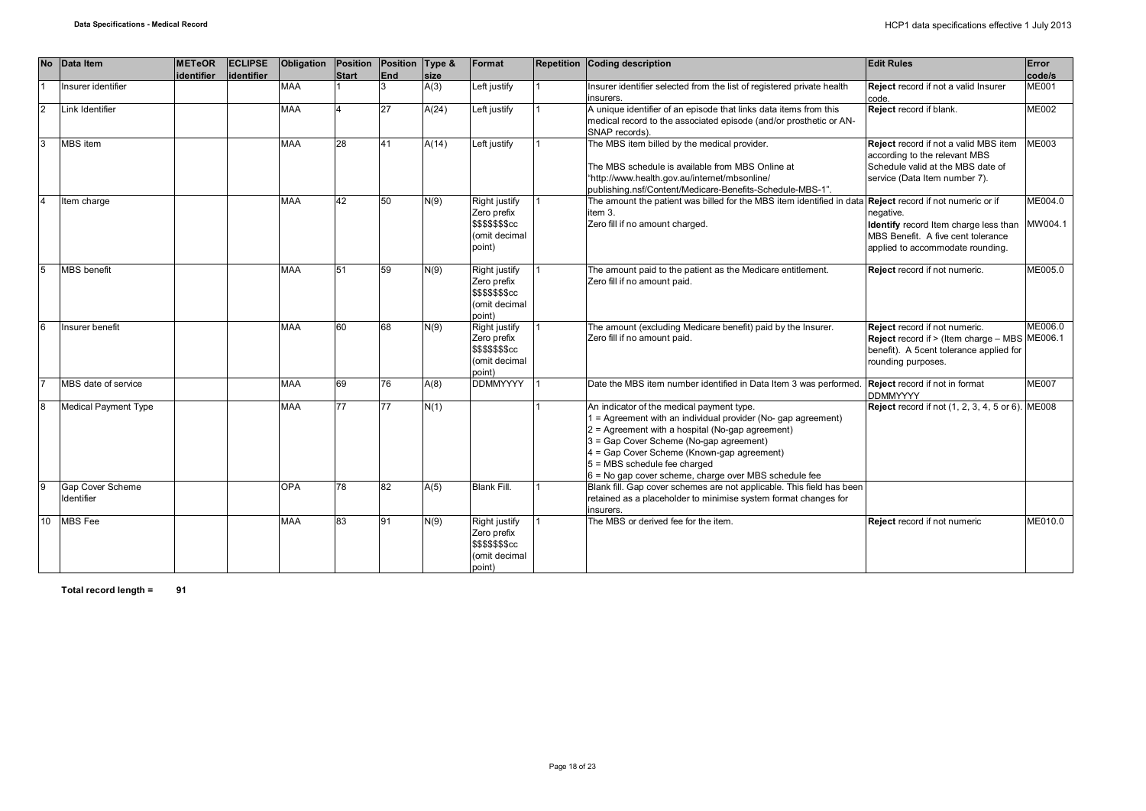| <b>No</b>      | Data Item                      | <b>METeOR</b> | <b>ECLIPSE</b> | Obligation Position |              | Position Type & |       | Format                                                                             | Repetition Coding description                                                                                                                                                                                                                                                                                                                  | <b>Edit Rules</b>                                                                                                                                | Error              |
|----------------|--------------------------------|---------------|----------------|---------------------|--------------|-----------------|-------|------------------------------------------------------------------------------------|------------------------------------------------------------------------------------------------------------------------------------------------------------------------------------------------------------------------------------------------------------------------------------------------------------------------------------------------|--------------------------------------------------------------------------------------------------------------------------------------------------|--------------------|
|                |                                | identifier    | lidentifier    |                     | <b>Start</b> | <b>End</b>      | size  |                                                                                    |                                                                                                                                                                                                                                                                                                                                                |                                                                                                                                                  | code/s             |
|                | Insurer identifier             |               |                | <b>MAA</b>          |              | 3               | A(3)  | Left justify                                                                       | Insurer identifier selected from the list of registered private health<br>insurers.                                                                                                                                                                                                                                                            | Reject record if not a valid Insurer<br>code.                                                                                                    | <b>ME001</b>       |
| $\overline{2}$ | Link Identifier                |               |                | <b>MAA</b>          |              | 27              | A(24) | Left justify                                                                       | A unique identifier of an episode that links data items from this<br>medical record to the associated episode (and/or prosthetic or AN-<br>SNAP records).                                                                                                                                                                                      | Reject record if blank.                                                                                                                          | <b>ME002</b>       |
|                | <b>MBS</b> item                |               |                | <b>MAA</b>          | 28           | 41              | A(14) | Left justify                                                                       | The MBS item billed by the medical provider.<br>The MBS schedule is available from MBS Online at<br>"http://www.health.gov.au/internet/mbsonline/<br>publishing.nsf/Content/Medicare-Benefits-Schedule-MBS-1".                                                                                                                                 | Reject record if not a valid MBS item<br>according to the relevant MBS<br>Schedule valid at the MBS date of<br>service (Data Item number 7).     | <b>ME003</b>       |
|                | Item charge                    |               |                | MAA                 | 42           | 50              | N(9)  | Right justify<br>Zero prefix<br>\$\$\$\$\$\$\$cc<br>(omit decimal<br>point)        | The amount the patient was billed for the MBS item identified in data Reject record if not numeric or if<br>item 3.<br>Zero fill if no amount charged.                                                                                                                                                                                         | negative.<br>Identify record Item charge less than<br>MBS Benefit. A five cent tolerance<br>applied to accommodate rounding.                     | ME004.0<br>MW004.1 |
|                | <b>MBS</b> benefit             |               |                | <b>MAA</b>          | 51           | 59              | N(9)  | Right justify<br>Zero prefix<br>\$\$\$\$\$\$\$cc<br>(omit decimal<br>point)        | The amount paid to the patient as the Medicare entitlement.<br>Zero fill if no amount paid.                                                                                                                                                                                                                                                    | Reject record if not numeric.                                                                                                                    | ME005.0            |
|                | Insurer benefit                |               |                | <b>MAA</b>          | 60           | 68              | N(9)  | Right justify<br>Zero prefix<br><b>\$\$\$\$\$\$\$cc</b><br>(omit decimal<br>point) | The amount (excluding Medicare benefit) paid by the Insurer.<br>Zero fill if no amount paid.                                                                                                                                                                                                                                                   | Reject record if not numeric.<br>Reject record if > (Item charge - MBS ME006.1)<br>benefit). A 5cent tolerance applied for<br>rounding purposes. | ME006.0            |
|                | MBS date of service            |               |                | <b>MAA</b>          | 69           | 76              | A(8)  | <b>DDMMYYYY</b>                                                                    | Date the MBS item number identified in Data Item 3 was performed.                                                                                                                                                                                                                                                                              | Reject record if not in format<br><b>DDMMYYYY</b>                                                                                                | <b>ME007</b>       |
| 8              | Medical Payment Type           |               |                | MAA                 | 77           | 77              | N(1)  |                                                                                    | An indicator of the medical payment type.<br>= Agreement with an individual provider (No- gap agreement)<br>2 = Agreement with a hospital (No-gap agreement)<br>3 = Gap Cover Scheme (No-gap agreement)<br>4 = Gap Cover Scheme (Known-gap agreement)<br>5 = MBS schedule fee charged<br>6 = No gap cover scheme, charge over MBS schedule fee | <b>Reject</b> record if not (1, 2, 3, 4, 5 or 6). ME008                                                                                          |                    |
|                | Gap Cover Scheme<br>Identifier |               |                | <b>OPA</b>          | 78           | 82              | A(5)  | <b>Blank Fill.</b>                                                                 | Blank fill. Gap cover schemes are not applicable. This field has been<br>retained as a placeholder to minimise system format changes for<br>insurers.                                                                                                                                                                                          |                                                                                                                                                  |                    |
| 10             | <b>MBS</b> Fee                 |               |                | <b>MAA</b>          | 83           | 91              | N(9)  | Right justify<br>Zero prefix<br>\$\$\$\$\$\$\$cc<br>(omit decimal<br>point)        | The MBS or derived fee for the item.                                                                                                                                                                                                                                                                                                           | Reject record if not numeric                                                                                                                     | ME010.0            |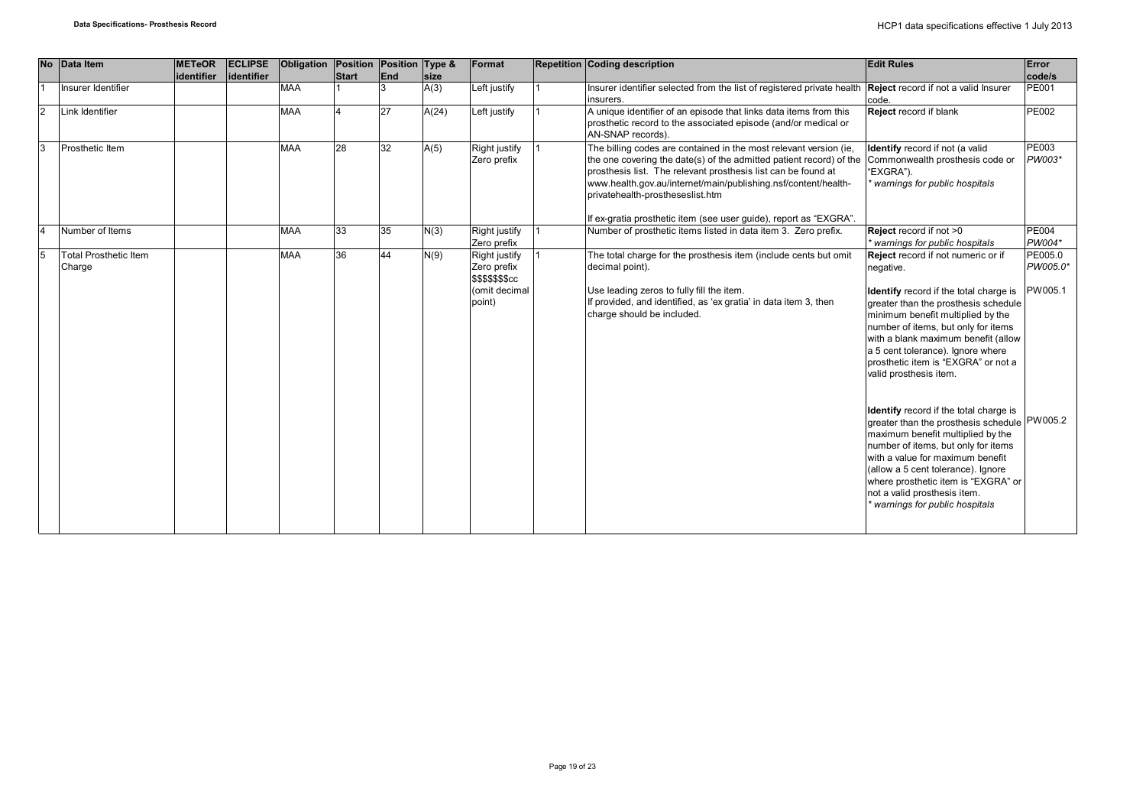| <b>No</b>      | Data Item                              | <b>METeOR</b><br>identifier | <b>ECLIPSE</b><br>identifier | Obligation | Position     | Position Type &<br><b>End</b> |              | Format                                           | <b>Repetition Coding description</b>                                                                                                                                                                                                                                                                                                                                                 | <b>Edit Rules</b>                                                                                                                                                                                                                                                                                                                                           | Error<br>code/s        |
|----------------|----------------------------------------|-----------------------------|------------------------------|------------|--------------|-------------------------------|--------------|--------------------------------------------------|--------------------------------------------------------------------------------------------------------------------------------------------------------------------------------------------------------------------------------------------------------------------------------------------------------------------------------------------------------------------------------------|-------------------------------------------------------------------------------------------------------------------------------------------------------------------------------------------------------------------------------------------------------------------------------------------------------------------------------------------------------------|------------------------|
|                | Insurer Identifier                     |                             |                              | <b>MAA</b> | <b>Start</b> |                               | size<br>A(3) | Left justify                                     | Insurer identifier selected from the list of registered private health Reject record if not a valid Insurer<br>insurers.                                                                                                                                                                                                                                                             | code.                                                                                                                                                                                                                                                                                                                                                       | <b>PE001</b>           |
| $\overline{2}$ | Link Identifier                        |                             |                              | <b>MAA</b> |              | 27                            | A(24)        | Left justify                                     | A unique identifier of an episode that links data items from this<br>prosthetic record to the associated episode (and/or medical or<br>AN-SNAP records).                                                                                                                                                                                                                             | Reject record if blank                                                                                                                                                                                                                                                                                                                                      | <b>PE002</b>           |
| l3             | Prosthetic Item                        |                             |                              | <b>MAA</b> | 28           | 32                            | A(5)         | Right justify<br>Zero prefix                     | The billing codes are contained in the most relevant version (ie,<br>the one covering the date(s) of the admitted patient record) of the<br>prosthesis list. The relevant prosthesis list can be found at<br>www.health.gov.au/internet/main/publishing.nsf/content/health-<br>privatehealth-prostheseslist.htm<br>If ex-gratia prosthetic item (see user guide), report as "EXGRA". | Identify record if not (a valid<br>Commonwealth prosthesis code or<br>"EXGRA").<br>warnings for public hospitals                                                                                                                                                                                                                                            | <b>PE003</b><br>PW003* |
| 14             | Number of Items                        |                             |                              | <b>MAA</b> | 33           | 35                            | N(3)         | Right justify                                    | Number of prosthetic items listed in data item 3. Zero prefix.                                                                                                                                                                                                                                                                                                                       | Reject record if not >0                                                                                                                                                                                                                                                                                                                                     | <b>PE004</b>           |
|                |                                        |                             |                              |            |              |                               |              | Zero prefix                                      |                                                                                                                                                                                                                                                                                                                                                                                      | warnings for public hospitals                                                                                                                                                                                                                                                                                                                               | PW004*                 |
| 15             | <b>Total Prosthetic Item</b><br>Charge |                             |                              | <b>MAA</b> | 36           | 44                            | N(9)         | Right justify<br>Zero prefix<br>\$\$\$\$\$\$\$cc | The total charge for the prosthesis item (include cents but omit<br>decimal point).                                                                                                                                                                                                                                                                                                  | Reject record if not numeric or if<br>negative.                                                                                                                                                                                                                                                                                                             | PE005.0<br>PW005.0*    |
|                |                                        |                             |                              |            |              |                               |              | (omit decimal<br>point)                          | Use leading zeros to fully fill the item.<br>If provided, and identified, as 'ex gratia' in data item 3, then<br>charge should be included.                                                                                                                                                                                                                                          | <b>Identify</b> record if the total charge is<br>greater than the prosthesis schedule<br>minimum benefit multiplied by the<br>number of items, but only for items<br>with a blank maximum benefit (allow<br>a 5 cent tolerance). Ignore where<br>prosthetic item is "EXGRA" or not a<br>valid prosthesis item.                                              | PW005.1                |
|                |                                        |                             |                              |            |              |                               |              |                                                  |                                                                                                                                                                                                                                                                                                                                                                                      | <b>Identify</b> record if the total charge is<br>greater than the prosthesis schedule PW005.2<br>maximum benefit multiplied by the<br>number of items, but only for items<br>with a value for maximum benefit<br>(allow a 5 cent tolerance). Ignore<br>where prosthetic item is "EXGRA" or<br>not a valid prosthesis item.<br>warnings for public hospitals |                        |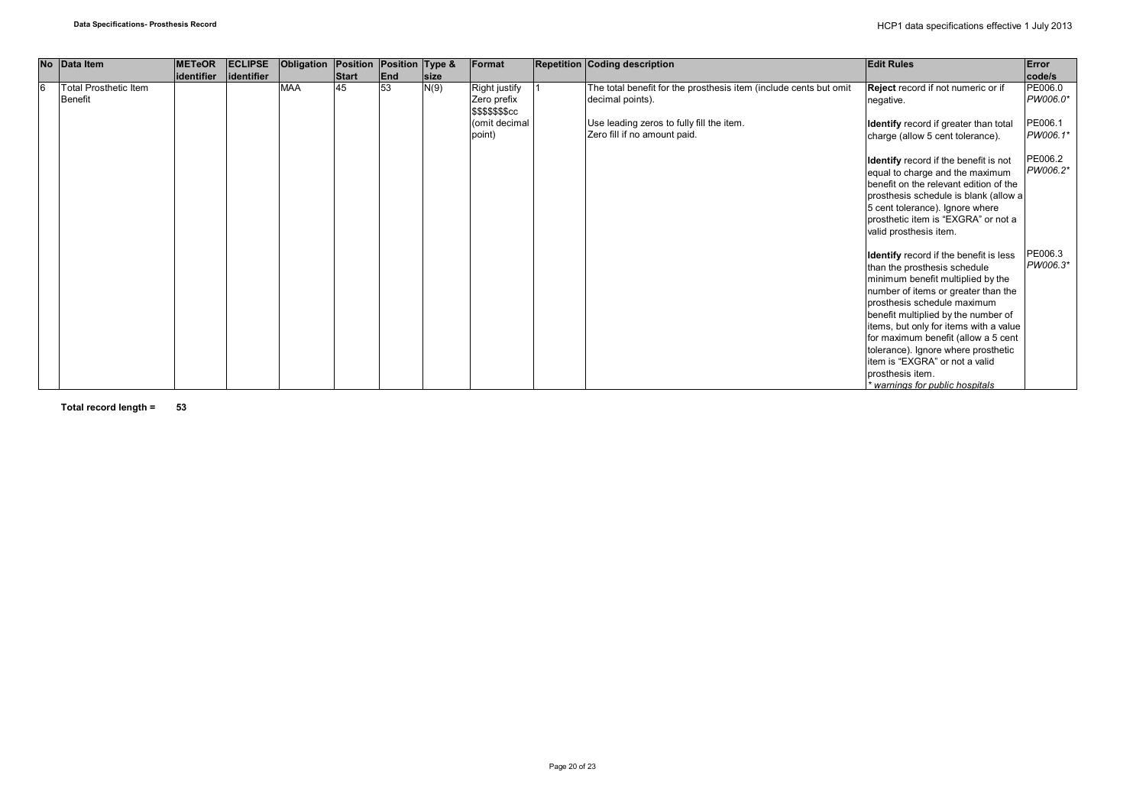| No Data Item                                   | <b>METeOR</b>     | <b>ECLIPSE</b> | Obligation | Position Position Type & |           |                     | Format                                           | Repetition Coding description                                                         | <b>Edit Rules</b>                                                                                                                                                                                                                                                                                                                                                                                                                         | Error                         |
|------------------------------------------------|-------------------|----------------|------------|--------------------------|-----------|---------------------|--------------------------------------------------|---------------------------------------------------------------------------------------|-------------------------------------------------------------------------------------------------------------------------------------------------------------------------------------------------------------------------------------------------------------------------------------------------------------------------------------------------------------------------------------------------------------------------------------------|-------------------------------|
| <b>Total Prosthetic Item</b><br><b>Benefit</b> | <b>identifier</b> | identifier     | <b>MAA</b> | <b>Start</b><br>45       | End<br>53 | <b>size</b><br>N(9) | Right justify<br>Zero prefix<br>\$\$\$\$\$\$\$cc | The total benefit for the prosthesis item (include cents but omit<br>decimal points). | Reject record if not numeric or if<br>negative.                                                                                                                                                                                                                                                                                                                                                                                           | code/s<br>PE006.0<br>PW006.0* |
|                                                |                   |                |            |                          |           |                     | (omit decimal<br>point)                          | Use leading zeros to fully fill the item.<br>Zero fill if no amount paid.             | Identify record if greater than total<br>charge (allow 5 cent tolerance).                                                                                                                                                                                                                                                                                                                                                                 | PE006.1<br>PW006.1*           |
|                                                |                   |                |            |                          |           |                     |                                                  |                                                                                       | <b>Identify</b> record if the benefit is not<br>equal to charge and the maximum<br>benefit on the relevant edition of the<br>prosthesis schedule is blank (allow a<br>5 cent tolerance). Ignore where<br>prosthetic item is "EXGRA" or not a<br>valid prosthesis item.                                                                                                                                                                    | PE006.2<br>PW006.2*           |
|                                                |                   |                |            |                          |           |                     |                                                  |                                                                                       | Identify record if the benefit is less<br>than the prosthesis schedule<br>minimum benefit multiplied by the<br>number of items or greater than the<br>prosthesis schedule maximum<br>benefit multiplied by the number of<br>items, but only for items with a value<br>for maximum benefit (allow a 5 cent<br>tolerance). Ignore where prosthetic<br>item is "EXGRA" or not a valid<br>prosthesis item.<br>* warnings for public hospitals | PE006.3<br>PW006.3*           |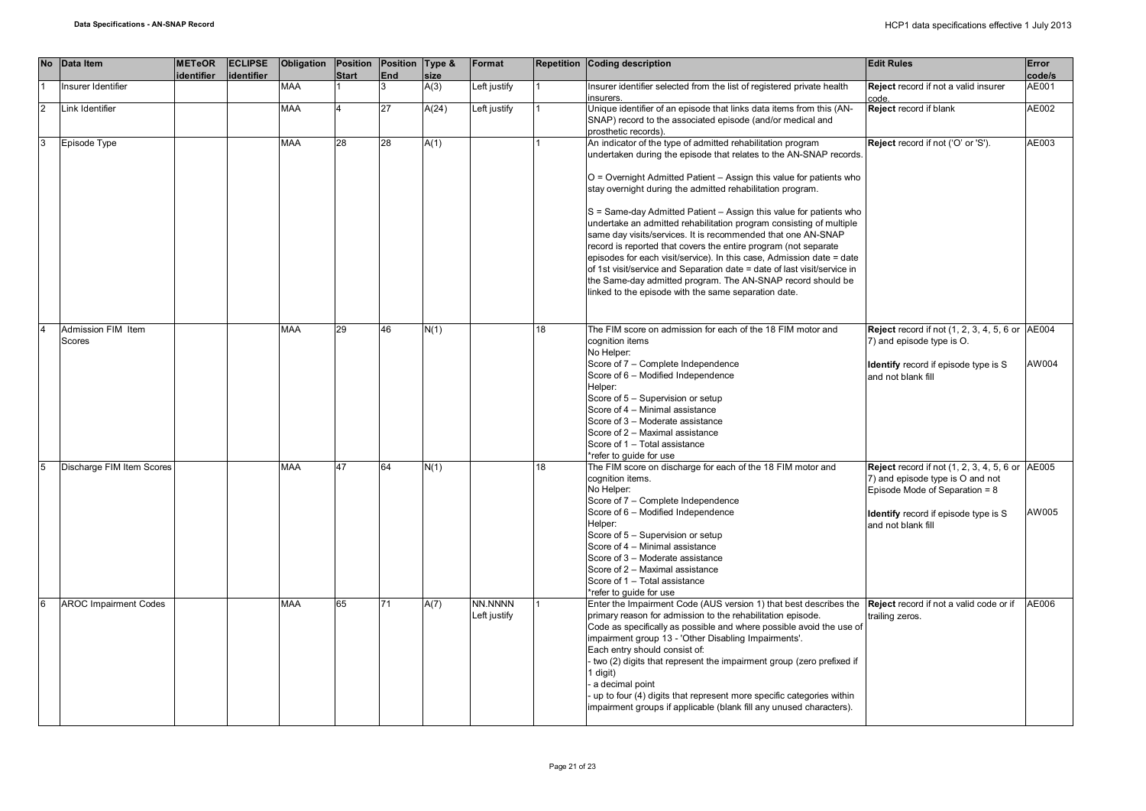|  | No Data Item                 | <b>METeOR</b><br>identifier | <b>ECLIPSE</b><br>identifier | Obligation Position Position Type & | <b>Start</b> | <b>End</b> | size  | Format                  |    | Repetition Coding description                                                                                                                                                                                                                                                                                                                                                                                                                                                                                                                                                                                                                                                                                                                                                                                                      | <b>Edit Rules</b>                                                                                                                                                                                      | Error<br>code/s |
|--|------------------------------|-----------------------------|------------------------------|-------------------------------------|--------------|------------|-------|-------------------------|----|------------------------------------------------------------------------------------------------------------------------------------------------------------------------------------------------------------------------------------------------------------------------------------------------------------------------------------------------------------------------------------------------------------------------------------------------------------------------------------------------------------------------------------------------------------------------------------------------------------------------------------------------------------------------------------------------------------------------------------------------------------------------------------------------------------------------------------|--------------------------------------------------------------------------------------------------------------------------------------------------------------------------------------------------------|-----------------|
|  | nsurer Identifier            |                             |                              | <b>MAA</b>                          |              |            | A(3)  | Left justify            |    | Insurer identifier selected from the list of registered private health<br>insurers.                                                                                                                                                                                                                                                                                                                                                                                                                                                                                                                                                                                                                                                                                                                                                | Reject record if not a valid insurer<br>code.                                                                                                                                                          | AE001           |
|  | Link Identifier              |                             |                              | MAA                                 |              | 27         | A(24) | Left justify            |    | Unique identifier of an episode that links data items from this (AN-<br>SNAP) record to the associated episode (and/or medical and<br>prosthetic records).                                                                                                                                                                                                                                                                                                                                                                                                                                                                                                                                                                                                                                                                         | Reject record if blank                                                                                                                                                                                 | AE002           |
|  | Episode Type                 |                             |                              | <b>MAA</b>                          | 28           | 28         | A(1)  |                         |    | An indicator of the type of admitted rehabilitation program<br>undertaken during the episode that relates to the AN-SNAP records.<br>O = Overnight Admitted Patient - Assign this value for patients who<br>stay overnight during the admitted rehabilitation program.<br>S = Same-day Admitted Patient - Assign this value for patients who<br>undertake an admitted rehabilitation program consisting of multiple<br>same day visits/services. It is recommended that one AN-SNAP<br>record is reported that covers the entire program (not separate<br>episodes for each visit/service). In this case, Admission date = date<br>of 1st visit/service and Separation date = date of last visit/service in<br>the Same-day admitted program. The AN-SNAP record should be<br>linked to the episode with the same separation date. | Reject record if not ('O' or 'S').                                                                                                                                                                     | AE003           |
|  | Admission FIM Item<br>Scores |                             |                              | <b>MAA</b>                          | 29           | 46         | N(1)  |                         | 18 | The FIM score on admission for each of the 18 FIM motor and<br>cognition items<br>No Helper:<br>Score of 7 - Complete Independence<br>Score of 6 - Modified Independence<br>Helper:<br>Score of 5 - Supervision or setup<br>Score of 4 - Minimal assistance<br>Score of 3 - Moderate assistance<br>Score of 2 - Maximal assistance<br>Score of 1 - Total assistance<br>*refer to quide for use                                                                                                                                                                                                                                                                                                                                                                                                                                     | <b>Reject</b> record if not (1, 2, 3, 4, 5, 6 or AE004<br>7) and episode type is O.<br><b>Identify</b> record if episode type is S<br>and not blank fill                                               | AW004           |
|  | Discharge FIM Item Scores    |                             |                              | <b>MAA</b>                          | 47           | 64         | N(1)  |                         | 18 | The FIM score on discharge for each of the 18 FIM motor and<br>cognition items.<br>No Helper:<br>Score of 7 - Complete Independence<br>Score of 6 - Modified Independence<br>Helper:<br>Score of 5 - Supervision or setup<br>Score of 4 - Minimal assistance<br>Score of 3 - Moderate assistance<br>Score of 2 - Maximal assistance<br>Score of 1 - Total assistance<br>*refer to guide for use                                                                                                                                                                                                                                                                                                                                                                                                                                    | <b>Reject</b> record if not $(1, 2, 3, 4, 5, 6)$ or $AE005$<br>7) and episode type is O and not<br>Episode Mode of Separation = 8<br><b>Identify</b> record if episode type is S<br>and not blank fill | AW005           |
|  | <b>AROC Impairment Codes</b> |                             |                              | <b>MAA</b>                          | 65           | 71         | A(7)  | NN.NNNN<br>Left justify |    | Enter the Impairment Code (AUS version 1) that best describes the Reject record if not a valid code or if<br>primary reason for admission to the rehabilitation episode.<br>Code as specifically as possible and where possible avoid the use of<br>impairment group 13 - 'Other Disabling Impairments'.<br>Each entry should consist of:<br>two (2) digits that represent the impairment group (zero prefixed if<br>1 digit)<br>a decimal point<br>up to four (4) digits that represent more specific categories within<br>impairment groups if applicable (blank fill any unused characters).                                                                                                                                                                                                                                    | trailing zeros.                                                                                                                                                                                        | AE006           |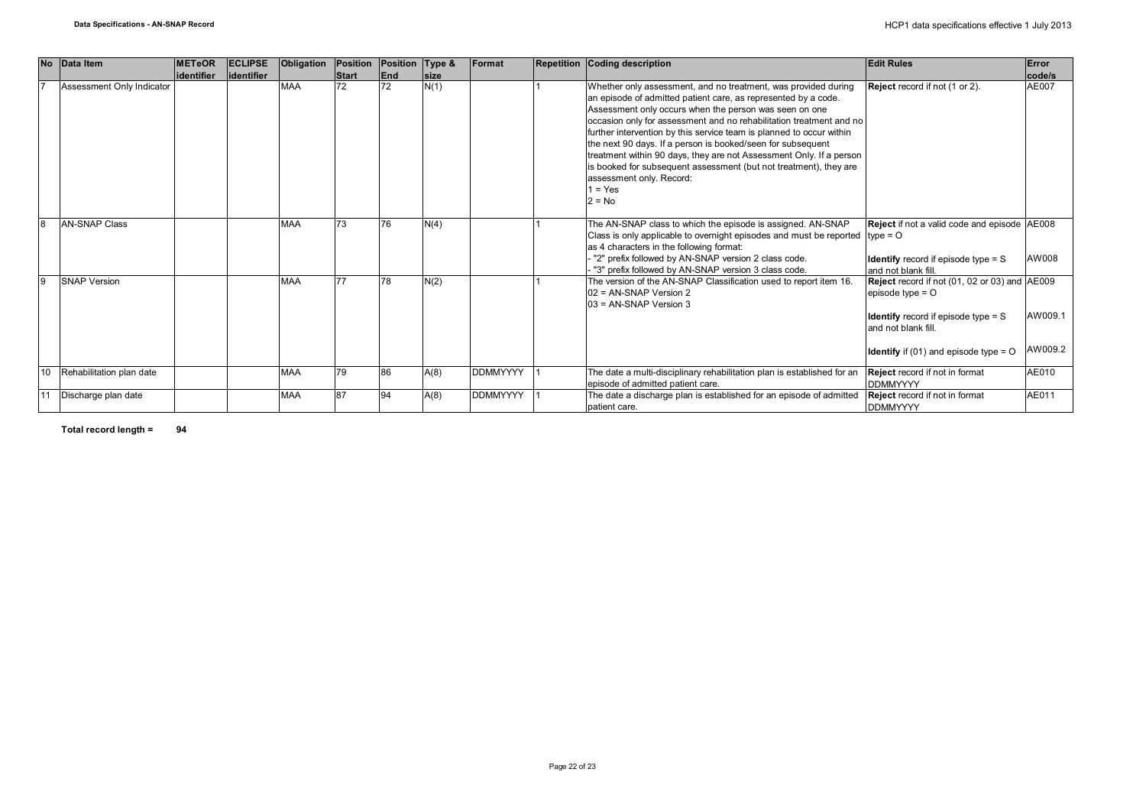| <b>No</b> | Data Item                 | <b>METeOR</b><br>lidentifier | <b>ECLIPSE</b><br>lidentifier | Obligation | <b>Position</b><br><b>Start</b> | Position Type &<br><b>End</b> | <b>Isize</b> | Format          | Repetition Coding description                                                                                                                                                                                                                                                                                                                                                                                                                                                                                                                                                                             | <b>Edit Rules</b>                                                                                                                                                                                      | Error<br>code/s    |
|-----------|---------------------------|------------------------------|-------------------------------|------------|---------------------------------|-------------------------------|--------------|-----------------|-----------------------------------------------------------------------------------------------------------------------------------------------------------------------------------------------------------------------------------------------------------------------------------------------------------------------------------------------------------------------------------------------------------------------------------------------------------------------------------------------------------------------------------------------------------------------------------------------------------|--------------------------------------------------------------------------------------------------------------------------------------------------------------------------------------------------------|--------------------|
|           | Assessment Only Indicator |                              |                               | <b>MAA</b> | 72                              | 72                            | N(1)         |                 | Whether only assessment, and no treatment, was provided during<br>an episode of admitted patient care, as represented by a code.<br>Assessment only occurs when the person was seen on one<br>occasion only for assessment and no rehabilitation treatment and no<br>further intervention by this service team is planned to occur within<br>the next 90 days. If a person is booked/seen for subsequent<br>treatment within 90 days, they are not Assessment Only. If a person<br>is booked for subsequent assessment (but not treatment), they are<br>assessment only. Record:<br>$1 = Yes$<br>$2 = No$ | Reject record if not (1 or 2).                                                                                                                                                                         | AE007              |
|           | <b>AN-SNAP Class</b>      |                              |                               | <b>MAA</b> | 73                              | 76                            | N(4)         |                 | The AN-SNAP class to which the episode is assigned. AN-SNAP<br>Class is only applicable to overnight episodes and must be reported type = $O$<br>as 4 characters in the following format:<br>"2" prefix followed by AN-SNAP version 2 class code.<br>"3" prefix followed by AN-SNAP version 3 class code.                                                                                                                                                                                                                                                                                                 | Reject if not a valid code and episode AE008<br><b>Identify</b> record if episode type $=$ S<br>and not blank fill.                                                                                    | AW008              |
| 9         | <b>SNAP Version</b>       |                              |                               | <b>MAA</b> | 77                              | 78                            | N(2)         |                 | The version of the AN-SNAP Classification used to report item 16.<br>02 = AN-SNAP Version 2<br>$03$ = AN-SNAP Version 3                                                                                                                                                                                                                                                                                                                                                                                                                                                                                   | Reject record if not (01, 02 or 03) and AE009<br>episode type $=$ $\circ$<br><b>Identify</b> record if episode type $=$ S<br>and not blank fill.<br><b>Identify</b> if (01) and episode type = $\circ$ | AW009.1<br>AW009.2 |
| 10        | Rehabilitation plan date  |                              |                               | <b>MAA</b> | 79                              | 86                            | A(8)         | <b>DDMMYYYY</b> | The date a multi-disciplinary rehabilitation plan is established for an<br>episode of admitted patient care.                                                                                                                                                                                                                                                                                                                                                                                                                                                                                              | <b>Reject</b> record if not in format<br><b>DDMMYYYY</b>                                                                                                                                               | AE010              |
|           | Discharge plan date       |                              |                               | <b>MAA</b> | 87                              |                               | A(8)         | <b>DDMMYYYY</b> | The date a discharge plan is established for an episode of admitted<br>patient care.                                                                                                                                                                                                                                                                                                                                                                                                                                                                                                                      | <b>Reject</b> record if not in format<br><b>DDMMYYYY</b>                                                                                                                                               | AE011              |